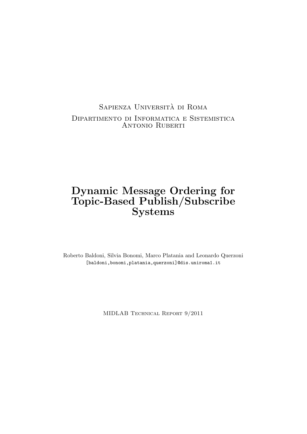## Sapienza Universita di Roma ` Dipartimento di Informatica e Sistemistica Antonio Ruberti

# Dynamic Message Ordering for Topic-Based Publish/Subscribe Systems

Roberto Baldoni, Silvia Bonomi, Marco Platania and Leonardo Querzoni [baldoni,bonomi,platania,querzoni]@dis.uniroma1.it

MIDLAB Technical Report 9/2011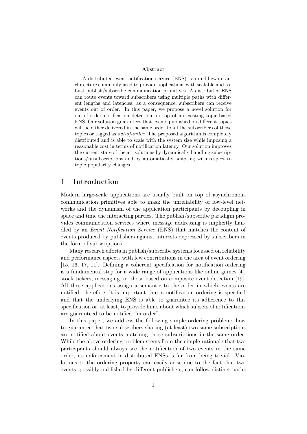#### Abstract

A distributed event notification service (ENS) is a middleware architecture commonly used to provide applications with scalable and robust publish/subscribe communication primitives. A distributed ENS can route events toward subscribers using multiple paths with different lengths and latencies; as a consequence, subscribers can receive events out of order. In this paper, we propose a novel solution for out-of-order notification detection on top of an existing topic-based ENS. Our solution guarantees that events published on different topics will be either delivered in the same order to all the subscribers of those topics or tagged as out-of-order. The proposed algorithm is completely distributed and is able to scale with the system size while imposing a reasonable cost in terms of notification latency. Our solution improves the current state of the art solutions by dynamically handling subscriptions/unsubscriptions and by automatically adapting with respect to topic popularity changes.

#### 1 Introduction

Modern large-scale applications are usually built on top of asynchronous communication primitives able to mask the unreliability of low-level networks and the dynamism of the application participants by decoupling in space and time the interacting parties. The publish/subscribe paradigm provides communication services where message addressing is implicitly handled by an Event Notification Service (ENS) that matches the content of events produced by publishers against interests expressed by subscribers in the form of subscriptions.

Many research efforts in publish/subscribe systems focussed on reliability and performance aspects with few contributions in the area of event ordering [15, 16, 17, 11]. Defining a coherent specification for notification ordering is a fundamental step for a wide range of applications like online games  $[4]$ , stock tickers, messaging, or those based on composite event detection [19]. All these applications assign a semantic to the order in which events are notified; therefore, it is important that a notification ordering is specified and that the underlying ENS is able to guarantee its adherence to this specification or, at least, to provide hints about which subsets of notifications are guaranteed to be notified "in order".

In this paper, we address the following simple ordering problem: how to guarantee that two subscribers sharing (at least) two same subscriptions are notified about events matching those subscriptions in the same order. While the above ordering problem stems from the simple rationale that two participants should always see the notification of two events in the same order, its enforcement in distributed ENSs is far from being trivial. Violations to the ordering property can easily arise due to the fact that two events, possibly published by different publishers, can follow distinct paths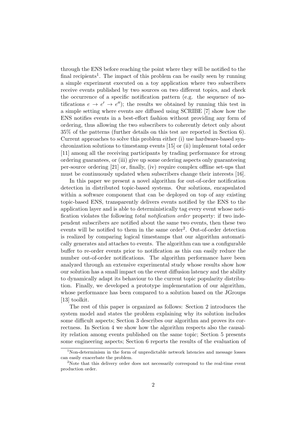through the ENS before reaching the point where they will be notified to the final recipients<sup>1</sup>. The impact of this problem can be easily seen by running a simple experiment executed on a toy application where two subscribers receive events published by two sources on two different topics, and check the occurrence of a specific notification pattern (e.g. the sequence of notifications  $e \rightarrow e' \rightarrow e''$ ; the results we obtained by running this test in a simple setting where events are diffused using SCRIBE [7] show how the ENS notifies events in a best-effort fashion without providing any form of ordering, thus allowing the two subscribers to coherently detect only about 35% of the patterns (further details on this test are reported in Section 6). Current approaches to solve this problem either (i) use hardware-based synchronization solutions to timestamp events [15] or (ii) implement total order [11] among all the receiving participants by trading performance for strong ordering guarantees, or (iii) give up some ordering aspects only guaranteeing per-source ordering [21] or, finally, (iv) require complex offline set-ups that must be continuously updated when subscribers change their interests [16].

In this paper we present a novel algorithm for out-of-order notification detection in distributed topic-based systems. Our solutions, encapsulated within a software component that can be deployed on top of any existing topic-based ENS, transparently delivers events notified by the ENS to the application layer and is able to deterministically tag every event whose notification violates the following total notification order property: if two independent subscribers are notified about the same two events, then these two events will be notified to them in the same order<sup>2</sup>. Out-of-order detection is realized by comparing logical timestamps that our algorithm automatically generates and attaches to events. The algorithm can use a configurable buffer to re-order events prior to notification as this can easily reduce the number out-of-order notifications. The algorithm performance have been analyzed through an extensive experimental study whose results show how our solution has a small impact on the event diffusion latency and the ability to dynamically adapt its behaviour to the current topic popularity distribution. Finally, we developed a prototype implementation of our algorithm, whose performance has been compared to a solution based on the JGroups [13] toolkit.

The rest of this paper is organized as follows: Section 2 introduces the system model and states the problem explaining why its solution includes some difficult aspects; Section 3 describes our algorithm and proves its correctness. In Section 4 we show how the algorithm respects also the causality relation among events published on the same topic; Section 5 presents some engineering aspects; Section 6 reports the results of the evaluation of

 $1$ Non-determinism in the form of unpredictable network latencies and message losses can easily exacerbate the problem.

<sup>&</sup>lt;sup>2</sup>Note that this delivery order does not necessarily correspond to the real-time event production order.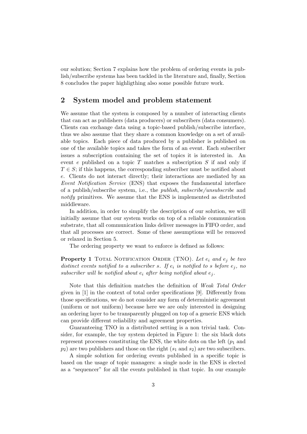our solution; Section 7 explains how the problem of ordering events in publish/subscribe systems has been tackled in the literature and, finally, Section 8 concludes the paper highligthing also some possible future work.

## 2 System model and problem statement

We assume that the system is composed by a number of interacting clients that can act as publishers (data producers) or subscribers (data consumers). Clients can exchange data using a topic-based publish/subscribe interface, thus we also assume that they share a common knowledge on a set of available topics. Each piece of data produced by a publisher is published on one of the available topics and takes the form of an event. Each subscriber issues a subscription containing the set of topics it is interested in. An event  $e$  published on a topic  $T$  matches a subscription  $S$  if and only if  $T \in S$ ; if this happens, the corresponding subscriber must be notified about e. Clients do not interact directly; their interactions are mediated by an Event Notification Service (ENS) that exposes the fundamental interface of a publish/subscribe system, i.e., the publish, subscribe/unsubscribe and notify primitives. We assume that the ENS is implemented as distributed middleware.

In addition, in order to simplify the description of our solution, we will initially assume that our system works on top of a reliable communication substrate, that all communication links deliver messages in FIFO order, and that all processes are correct. Some of these assumptions will be removed or relaxed in Section 5.

The ordering property we want to enforce is defined as follows:

**Property 1** TOTAL NOTIFICATION ORDER (TNO). Let  $e_i$  and  $e_j$  be two distinct events notified to a subscriber s. If  $e_i$  is notified to s before  $e_j$ , no subscriber will be notified about  $e_i$  after being notified about  $e_i$ .

Note that this definition matches the definition of Weak Total Order given in [1] in the context of total order specifications [9]. Differently from those specifications, we do not consider any form of deterministic agreement (uniform or not uniform) because here we are only interested in designing an ordering layer to be transparently plugged on top of a generic ENS which can provide different reliability and agreement properties.

Guaranteeing TNO in a distributed setting is a non trivial task. Consider, for example, the toy system depicted in Figure 1: the six black dots represent processes constituting the ENS, the white dots on the left  $(p_1$  and  $p_2$ ) are two publishers and those on the right  $(s_1 \text{ and } s_2)$  are two subscribers.

A simple solution for ordering events published in a specific topic is based on the usage of topic managers: a single node in the ENS is elected as a "sequencer" for all the events published in that topic. In our example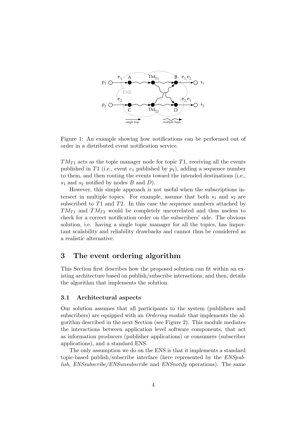

Figure 1: An example showing how notifications can be performed out of order in a distributed event notification service.

 $TM_{T1}$  acts as the topic manager node for topic T1, receiving all the events published in T1 (i.e., event  $e_1$  published by  $p_1$ ), adding a sequence number to them, and then routing the events toward the intended destinations (i.e.,  $s_1$  and  $s_2$  notified by nodes B and D).

However, this simple approach is not useful when the subscriptions intersect in multiple topics. For example, assume that both  $s_1$  and  $s_2$  are subscribed to T1 and T2. In this case the sequence numbers attached by  $TM_{T1}$  and  $TM_{T2}$  would be completely uncorrelated and thus useless to check for a correct notification order on the subscribers' side. The obvious solution, i.e. having a single topic manager for all the topics, has important scalability and reliability drawbacks and cannot thus be considered as a realistic alternative.

## 3 The event ordering algorithm

This Section first describes how the proposed solution can fit within an existing architecture based on publish/subscribe interactions, and then, details the algorithm that implements the solution.

#### 3.1 Architectural aspects

Our solution assumes that all participants to the system (publishers and subscribers) are equipped with an *Ordering module* that implements the algorithm described in the next Section (see Figure 2). This module mediates the interactions between application level software components, that act as information producers (publisher applications) or consumers (subscriber applications), and a standard ENS.

The only assumption we do on the ENS is that it implements a standard topic-based publish/subscribe interface (here represented by the ENSpublish, ENSsubscribe/ENSunsubscribe and ENSnotify operations). The same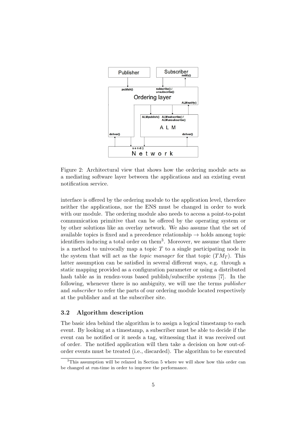

Figure 2: Architectural view that shows how the ordering module acts as a mediating software layer between the applications and an existing event notification service.

interface is offered by the ordering module to the application level, therefore neither the applications, nor the ENS must be changed in order to work with our module. The ordering module also needs to access a point-to-point communication primitive that can be offered by the operating system or by other solutions like an overlay network. We also assume that the set of available topics is fixed and a precedence relationship  $\rightarrow$  holds among topic identifiers inducing a total order on them<sup>3</sup>. Moreover, we assume that there is a method to univocally map a topic  $T$  to a single participating node in the system that will act as the *topic manager* for that topic  $(TM_T)$ . This latter assumption can be satisfied in several different ways, e.g. through a static mapping provided as a configuration parameter or using a distributed hash table as in rendez-vous based publish/subscribe systems [7]. In the following, whenever there is no ambiguity, we will use the terms publisher and subscriber to refer the parts of our ordering module located respectively at the publisher and at the subscriber site.

#### 3.2 Algorithm description

The basic idea behind the algorithm is to assign a logical timestamp to each event. By looking at a timestamp, a subscriber must be able to decide if the event can be notified or it needs a tag, witnessing that it was received out of order. The notified application will then take a decision on how out-oforder events must be treated (i.e., discarded). The algorithm to be executed

<sup>&</sup>lt;sup>3</sup>This assumption will be relaxed in Section 5 where we will show how this order can be changed at run-time in order to improve the performance.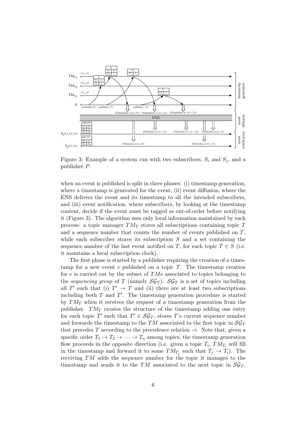

Figure 3: Example of a system run with two subscribers,  $S_i$  and  $S_j$ , and a publisher P.

when an event is published is split in three phases: (i) timestamp generation, where a timestamp is generated for the event, (ii) event diffusion, where the ENS delivers the event and its timestamp to all the intended subscribers, and (iii) event notification, where subscribers, by looking at the timestamp content, decide if the event must be tagged as out-of-order before notifying it (Figure 3). The algorithm uses only local information maintained by each process: a topic manager  $TM_T$  stores all subscriptions containing topic  $T$ and a sequence number that counts the number of events published on  $T$ , while each subscriber stores its subscription  $S$  and a set containing the sequence number of the last event notified on T, for each topic  $T \in S$  (i.e. it maintains a local subscription clock).

The first phase is started by a publisher requiring the creation of a timestamp for a new event  $e$  published on a topic  $T$ . The timestamp creation for  $e$  is carried out by the subset of TMs associated to topics belonging to the sequencing group of T (namely  $\mathcal{SG}_T$ ).  $\mathcal{SG}_T$  is a set of topics including all T' such that (i)  $T' \rightarrow T$  and (ii) there are at least two subscriptions including both  $T$  and  $T'$ . The timestamp generation procedure is started by  $TM_T$  when it receives the request of a timestamp generation from the publisher.  $TM_T$  creates the structure of the timestamp adding one entry for each topic T' such that  $T' \in \mathcal{SG}_T$ , stores T's current sequence number and forwards the timestamp to the TM associated to the first topic in  $\mathcal{SG}_T$ that precedes T according to the precedence relation  $\rightarrow$ . Note that, given a specific order  $T_1 \rightarrow T_2 \rightarrow \cdots \rightarrow T_n$  among topics, the timestamp generation flow proceeds in the opposite direction (i.e. given a topic  $T_i$ ,  $TM_{T_i}$  will fill in the timestamp and forward it to some  $TM_{T_j}$  such that  $T_j \to T_i$ ). The receiving TM adds the sequence number for the topic it manages to the timestamp and sends it to the TM associated to the next topic in  $\mathcal{SG}_T$ .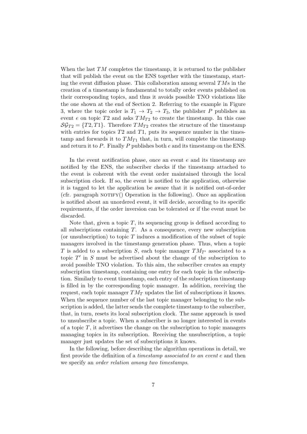When the last  $TM$  completes the timestamp, it is returned to the publisher that will publish the event on the ENS together with the timestamp, starting the event diffusion phase. This collaboration among several  $TMS$  in the creation of a timestamp is fundamental to totally order events published on their corresponding topics, and thus it avoids possible TNO violations like the one shown at the end of Section 2. Referring to the example in Figure 3, where the topic order is  $T_1 \rightarrow T_2 \rightarrow T_3$ , the publisher P publishes an event e on topic  $T2$  and asks  $TM_{T2}$  to create the timestamp. In this case  $\mathcal{SG}_{T2} = \{T2, T1\}.$  Therefore  $TM_{T2}$  creates the structure of the timestamp with entries for topics  $T2$  and  $T1$ , puts its sequence number in the timestamp and forwards it to  $TM_{T1}$  that, in turn, will complete the timestamp and return it to  $P$ . Finally  $P$  publishes both  $e$  and its timestamp on the ENS.

In the event notification phase, once an event e and its timestamp are notified by the ENS, the subscriber checks if the timestamp attached to the event is coherent with the event order maintained through the local subscription clock. If so, the event is notified to the application, otherwise it is tagged to let the application be aware that it is notified out-of-order (cfr. paragraph  $\text{NOTIFY}()$  Operation in the following). Once an application is notified about an unordered event, it will decide, according to its specific requirements, if the order inversion can be tolerated or if the event must be discarded.

Note that, given a topic  $T$ , its sequencing group is defined according to all subscriptions containing  $T$ . As a consequence, every new subscription (or unsubscription) to topic  $T$  induces a modification of the subset of topic managers involved in the timestamp generation phase. Thus, when a topic T is added to a subscription S, each topic manager  $TM_{T'}$  associated to a topic  $T'$  in  $S$  must be advertised about the change of the subscription to avoid possible TNO violation. To this aim, the subscriber creates an empty subscription timestamp, containing one entry for each topic in the subscription. Similarly to event timestamp, each entry of the subscription timestamp is filled in by the corresponding topic manager. In addition, receiving the request, each topic manager  $TM_T$  updates the list of subscriptions it knows. When the sequence number of the last topic manager belonging to the subscription is added, the latter sends the complete timestamp to the subscriber, that, in turn, resets its local subscription clock. The same approach is used to unsubscribe a topic. When a subscriber is no longer interested in events of a topic  $T$ , it advertises the change on the subscription to topic managers managing topics in its subscription. Receiving the unsubscription, a topic manager just updates the set of subscriptions it knows.

In the following, before describing the algorithm operations in detail, we first provide the definition of a timestamp associated to an event e and then we specify an order relation among two timestamps.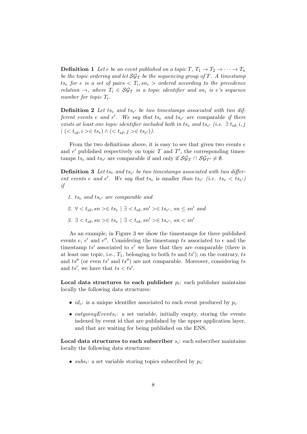**Definition 1** Let e be an event published on a topic  $T, T_1 \rightarrow T_2 \rightarrow \cdots \rightarrow T_n$ be the topic ordering and let  $\mathcal{SG}_T$  be the sequencing group of T. A timestamp  $t s_e$  for e is a set of pairs  $\langle T_i, s n_i \rangle$  ordered according to the precedence relation  $\rightarrow$ , where  $T_i \in \mathcal{SG}_T$  is a topic identifier and sn<sub>i</sub> is e's sequence number for topic  $T_i$ .

**Definition 2** Let  $ts_e$  and  $ts_{e'}$  be two timestamps associated with two different events e and e'. We say that  $t s_e$  and  $t s_{e'}$  are comparable if there exists at least one topic identifier included both in ts<sub>e</sub> and ts<sub>e</sub> (i.e.  $\exists t_{id}, i, j$  $| ( < t_{id}, i > \in ts_e) \land (< t_{id}, j > \in ts_{e'}) ).$ 

From the two definitions above, it is easy to see that given two events e and  $e'$  published respectively on topic  $T$  and  $T'$ , the corresponding timestamps  $ts_e$  and  $ts_{e'}$  are comparable if and only if  $\mathcal{SG}_T \cap \mathcal{SG}_{T'} \neq \emptyset$ .

**Definition 3** Let  $ts_e$  and  $ts_{e'}$  be two timestamps associated with two different events e and e'. We say that  $t s_e$  is smaller than  $t s_{e'}$  (i.e.  $t s_e < t s_{e'}$ ) if

- 1.  $ts_e$  and  $ts_{e'}$  are comparable and
- 2.  $\forall < t_{id}, sn > \in ts_e \mid \exists < t_{id}, sn' > \in ts_{e'}, sn \le sn'$  and
- 3.  $\exists < t_{id}, sn > \in ts_e \mid \exists < t_{id}, sn' > \in ts_{e'}, sn < sn'$

As an example, in Figure 3 we show the timestamps for three published events  $e, e'$  and  $e''$ . Considering the timestamp ts associated to e and the timestamp  $ts'$  associated to  $e'$  we have that they are comparable (there is at least one topic, i.e.,  $T_1$ , belonging to both ts and ts'); on the contrary, ts and  $ts''$  (or even ts' and  $ts''$ ) are not comparable. Moreover, considering ts and ts', we have that  $ts < ts'$ .

Local data structures to each publisher  $p_i$ : each publisher maintains locally the following data structures:

- $id_e$ : is a unique identifier associated to each event produced by  $p_i$ .
- *outgoingEvents<sub>i</sub>*: a set variable, initially empty, storing the events indexed by event id that are published by the upper application layer, and that are waiting for being published on the ENS.

Local data structures to each subscriber  $s_i$ : each subscriber maintains locally the following data structures:

•  $subs_i$ : a set variable storing topics subscribed by  $p_i$ ;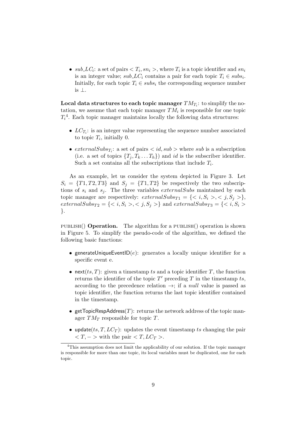•  $sub\_LC_i$ : a set of pairs  $\langle T_i, sn_i \rangle$ , where  $T_i$  is a topic identifier and  $sn_i$ is an integer value;  $sub\_LC_i$  contains a pair for each topic  $T_i \in subs_i$ . Initially, for each topic  $T_i \in \text{subs}_i$  the corresponding sequence number is ⊥.

Local data structures to each topic manager  $TM_{T_i}$ : to simplify the notation, we assume that each topic manager  $TM_i$  is responsible for one topic  $T_i^4$ . Each topic manager maintains locally the following data structures:

- $LC_{T_i}$ : is an integer value representing the sequence number associated to topic  $T_i$ , initially 0.
- $externalSubs_{T_i}:$  a set of pairs  $\langle id, sub \rangle$  where sub is a subscription (i.e. a set of topics  $\{T_j, T_k \dots T_h\}$ ) and *id* is the subscriber identifier. Such a set contains all the subscriptions that include  $T_i$ .

As an example, let us consider the system depicted in Figure 3. Let  $S_i = \{T1, T2, T3\}$  and  $S_i = \{T1, T2\}$  be respectively the two subscriptions of  $s_i$  and  $s_j$ . The three variables external Subs maintained by each topic manager are respectively:  $\text{externalSubs}_{T1} = \{ \langle i, S_i \rangle, \langle j, S_j \rangle \},\$  $externalSubs_{T2} = \{ \langle i, S_i \rangle, \langle j, S_j \rangle \}$  and  $externalSubs_{T3} = \{ \langle i, S_i \rangle, \langle j, S_j \rangle, \langle j, S_j \rangle \}$ }.

PUBLISH() **Operation.** The algorithm for a PUBLISH() operation is shown in Figure 5. To simplify the pseudo-code of the algorithm, we defined the following basic functions:

- generateUniqueEventID $(e)$ : generates a locally unique identifier for a specific event e.
- next(ts, T): given a timestamp ts and a topic identifier T, the function returns the identifier of the topic  $T'$  preceding  $T$  in the timestamp ts, according to the precedence relation  $\rightarrow$ ; if a *null* value is passed as topic identifier, the function returns the last topic identifier contained in the timestamp.
- get TopicRespAddress $(T)$ : returns the network address of the topic manager  $TM_T$  responsible for topic T.
- update(ts, T,  $LC_T$ ): updates the event timestamp ts changing the pair  $\langle T, -\rangle$  with the pair  $\langle T, LC_T \rangle$ .

<sup>&</sup>lt;sup>4</sup>This assumption does not limit the applicability of our solution. If the topic manager is responsible for more than one topic, its local variables must be duplicated, one for each topic.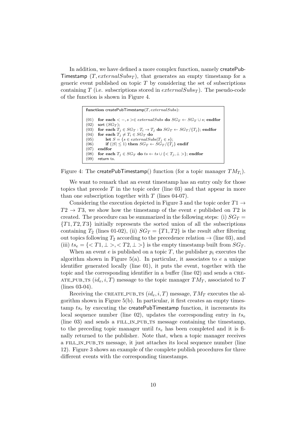In addition, we have defined a more complex function, namely createPub-Timestamp  $(T, externalSubs_T)$ , that generates an empty timestamp for a generic event published on topic  $T$  by considering the set of subscriptions containing T (i.e. subscriptions stored in  $\text{externalSubs}_T$ ). The pseudo-code of the function is shown in Figure 4.

```
function createPubTimestamp(T, externalSubs):
(01) for each \lt –, s \gt \in externalSubs do SG_T \leftarrow SG_T \cup s; endfor (02) sort (SG_T):
         sort (SG_T);(03) for each T_j \in SG_T : T_i \to T_j do SG_T \leftarrow SG_T / \{T_j\}; endfor <br>(04) for each T_i \neq T_i \in SG_T do
         for each \tilde{T}_i \neq T_i \in SG_T do
(05) let S = \{s \in externalSubs | T_j \in s\};<br>(06) if (|S| \le 1) then SG_T \leftarrow SG_T / \{T_j\}(06) if (|S| \le 1) then SG_T \leftarrow SG_T / \{T_j\} endif (07) endfor
          endfor
(08) for each T_j \in SG_T do ts \leftarrow ts \cup \{ \langle T_j, \bot \rangle \}; endfor (09) return ts.
         return ts.
```
Figure 4: The  $\mathsf{createPubThnestamp}()$  function (for a topic manager  $TM_{T_i}).$ 

We want to remark that an event timestamp has an entry only for those topics that precede T in the topic order (line  $(03)$ ) and that appear in more than one subscription together with  $T$  (lines 04-07).

Considering the execution depicted in Figure 3 and the topic order  $T1 \rightarrow$  $T2 \rightarrow T3$ , we show how the timestamp of the event e published on T2 is created. The procedure can be summarized in the following steps: (i)  $SG_T$  =  ${T1, T2, T3}$  initially represents the sorted union of all the subscriptions containing  $T_2$  (lines 01-02), (ii)  $SG_T = \{T1, T2\}$  is the result after filtering out topics following  $T_2$  according to the precedence relation  $\rightarrow$  (line 03), and (iii)  $ts_e = \{ \langle T1, \bot \rangle, \langle T2, \bot \rangle \}$  is the empty timestamp built from  $SG_T$ .

When an event e is published on a topic T, the publisher  $p_i$  executes the algorithm shown in Figure 5(a). In particular, it associates to  $e$  a unique identifier generated locally (line 01), it puts the event, together with the topic and the corresponding identifier in a buffer (line 02) and sends a cre-ATE\_PUB\_TS  $(id_e, i, T)$  message to the topic manager  $TM_T$ , associated to T (lines 03-04).

Receiving the CREATE\_PUB\_TS  $(id_e, i, T)$  message,  $TM_T$  executes the algorithm shown in Figure 5(b). In particular, it first creates an empty timestamp  $ts<sub>e</sub>$  by executing the createPubTimestamp function, it increments its local sequence number (line 02), updates the corresponding entry in  $ts_e$ (line  $03$ ) and sends a FILL IN PUB TS message containing the timestamp, to the preceding topic manager until  $ts_e$  has been completed and it is finally returned to the publisher. Note that, when a topic manager receives a fill in pub ts message, it just attaches its local sequence number (line 12). Figure 3 shows an example of the complete publish procedures for three different events with the corresponding timestamps.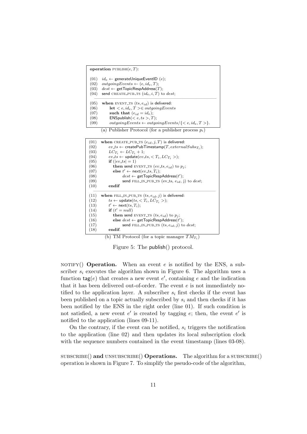| <b>operation</b> PUBLISH $(e, T)$ : |                                                                    |  |
|-------------------------------------|--------------------------------------------------------------------|--|
| (01)                                | $id_e \leftarrow$ generateUniqueEventID (e);                       |  |
| (02)                                | $outgoingEvents \leftarrow (e, id_e, T);$                          |  |
| (03)                                | $dest \leftarrow getTopicResponseAddress(T);$                      |  |
| (04)                                | send CREATE_PUB_TS $(id_e, i, T)$ to $dest;$                       |  |
| (05)                                | when EVENT TS $(ts, e_{id})$ is delivered:                         |  |
| (06)                                | $\text{let} < e, id_e, T> \in outgoingEvents$                      |  |
| (07)                                | such that $(e_{id} = id_e);$                                       |  |
| (08)                                | ENSpublish( <i>e</i> , <i>ts</i> >, T);                            |  |
| (09)                                | $outgoingEvents \leftarrow outgoingEvents / \{ < e, id_e, T > \}.$ |  |

(a) Publisher Protocol (for a publisher process  $p_i$ )

| (01) | when CREATE_PUB_TS $(e_{id}, j, T)$ is delivered:                         |
|------|---------------------------------------------------------------------------|
| (02) | $ev\_ts \leftarrow$ createPubTimestamp(T, $externalSubs_{T_s}$ );         |
| (03) | $LC_{T_i} \leftarrow LC_{T_i} + 1;$                                       |
| (04) | $ev\_ts \leftarrow \text{update}(ev\_ts, \langle T_i, LC_{T_i} \rangle);$ |
| (05) | <b>if</b> $( ev\_ts  = 1)$                                                |
| (06) | <b>then send</b> EVENT TS $(ev\_ts, e_{id})$ to $p_i$ ;                   |
| (07) | else $t' \leftarrow \text{next}(ev\_ts, T_i);$                            |
| (08) | $dest \leftarrow getTopicResponseAddress(t');$                            |
| (09) | send FILL IN PUB TS (ev_ts, $e_{id}$ , j) to dest;                        |
| (10) | endif                                                                     |
| (11) | when FILL_IN_PUB_TS $(ts, e_{id}, j)$ is delivered:                       |
| (12) | $ts \leftarrow \text{update}(ts, < T_i, LC_{T_i}>)$ ;                     |
| (13) | $t' \leftarrow \text{next}(ts, T_i);$                                     |
| (14) | if $(t' = null)$                                                          |
| (15) | <b>then send</b> EVENT TS $(ts, e_{id})$ to $p_i$ ;                       |
| (16) | else $dest \leftarrow getTopicResponseAddress(t');$                       |
| (17) | send FILL_IN_PUB_TS $(ts, e_{id}, j)$ to $dest;$                          |
| (18) |                                                                           |

(b) TM Protocol (for a topic manager  $TM_{T_i}$ )

Figure 5: The publish() protocol.

NOTIFY() **Operation.** When an event e is notified by the ENS, a subscriber  $s_i$  executes the algorithm shown in Figure 6. The algorithm uses a function  $\text{tag}(e)$  that creates a new event e', containing e and the indication that it has been delivered out-of-order. The event  $e$  is not immediately notified to the application layer. A subscriber  $s_i$  first checks if the event has been published on a topic actually subscribed by  $s_i$  and then checks if it has been notified by the ENS in the right order (line 01). If such condition is not satisfied, a new event  $e'$  is created by tagging  $e$ ; then, the event  $e'$  is notified to the application (lines 09-11).

On the contrary, if the event can be notified,  $s_i$  triggers the notification to the application (line 02) and then updates its local subscription clock with the sequence numbers contained in the event timestamp (lines 03-08).

 $SUBSCRIBE()$  and UNSUBSCRIBE $()$  Operations. The algorithm for a SUBSCRIBE $()$ operation is shown in Figure 7. To simplify the pseudo-code of the algorithm,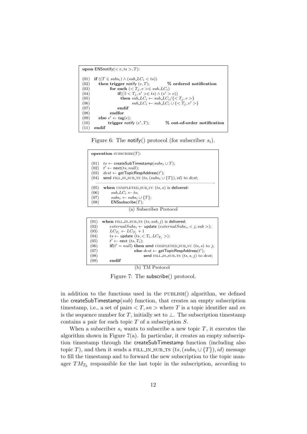| upon $ENSmotify(e, ts>, T)$ : |                                                                        |  |
|-------------------------------|------------------------------------------------------------------------|--|
| (01)                          | if $((T \in subs_i) \wedge (sub\_LC_i < ts))$                          |  |
| (02)                          | then trigger notify $(e, T)$ ;<br>% ordered notification               |  |
| (03)                          | for each $(Ti, v > \in subLCi)$                                        |  |
| (04)                          | $\textbf{if}((\exists \langle T_i, v' \rangle \in ts) \land (v' > v))$ |  |
| (05)                          | then $sub\_LC_i \leftarrow sub\_LC_i / \{  \}$                         |  |
| (06)                          | $sub\_LC_i \leftarrow sub\_LC_i \cup \{ \langle T_i, v' \rangle \}$    |  |
| (07)                          | endif                                                                  |  |
| (08)                          | endfor                                                                 |  |
| (09)                          | else $e' \leftarrow \text{tag}(e);$                                    |  |
| (10)                          | trigger notify $(e', T)$ ;<br>% out-of-order notification              |  |
| (11                           | endif                                                                  |  |

Figure 6: The notify() protocol (for subscriber  $s_i$ ).

| <b>operation</b> SUBSCRIBE $(T)$ : |                                                                                                                                                                                                                      |  |
|------------------------------------|----------------------------------------------------------------------------------------------------------------------------------------------------------------------------------------------------------------------|--|
| (01)<br>(02)<br>(03)<br>(04)       | $ts \leftarrow$ createSubTimestamp( $subs_i \cup T$ );<br>$t' \leftarrow \text{next}(ts, null);$<br>$dest \leftarrow getTopicResponseAddress(t');$<br>send FILL_IN_SUB_TS $(ts, (subs_i \cup \{T\}), id)$ to $dest;$ |  |
| (05)                               | when COMPLETED_SUB_VC $(ts, s)$ is delivered:                                                                                                                                                                        |  |
| (06)                               | $sub\_LC_i \leftarrow ts$                                                                                                                                                                                            |  |
| (07)                               | $subs_i \leftarrow subs_i \cup \{T\};$                                                                                                                                                                               |  |
| (08)                               | ENSsubscript (T);                                                                                                                                                                                                    |  |
|                                    | (a) Subscriber Protocol                                                                                                                                                                                              |  |

| (01) | when FILL_IN_SUB_TS $(ts, sub, j)$ is delivered:                    |
|------|---------------------------------------------------------------------|
| (02) | $externalSubs_i \leftarrow update (externalSubs_i, < j, sub);$      |
| (03) | $LC_{T_i} \leftarrow LC_{T_i} + 1$                                  |
| (04) | $ts \leftarrow$ update $(ts, < T_i, LC_{T_i}>)$ ;                   |
| (05) | $t' \leftarrow$ next $(ts, T_i)$ ;                                  |
| (06) | $\mathbf{if}(t' = null)$ then send COMPLETED_SUB_VC $(ts, s)$ to j; |
| (07) | else $dest \leftarrow getTopicResponseAddress(t');$                 |
| (08) | send FILL_IN_SUB_TS $(ts, s, j)$ to $dest;$                         |
| (09) | endif                                                               |
|      | TM Protocol                                                         |

Figure 7: The subscribe() protocol.

in addition to the functions used in the PUBLISH() algorithm, we defined the createSubTimestamp( $sub$ ) function, that creates an empty subscription timestamp, i.e., a set of pairs  $\langle T, sn \rangle$  where T is a topic identifier and sn is the sequence number for T, initially set to  $\bot$ . The subscription timestamp contains a pair for each topic T of a subscription S.

When a subscriber  $s_i$  wants to subscribe a new topic  $T$ , it executes the algorithm shown in Figure  $7(a)$ . In particular, it creates an empty subscription timestamp through the createSubTimestamp function (including also topic T), and then it sends a FILL IN\_SUB\_TS  $(ts, (subs_i \cup \{T\}), id)$  message to fill the timestamp and to forward the new subscription to the topic manager  $TM_{T_k}$  responsible for the last topic in the subscription, according to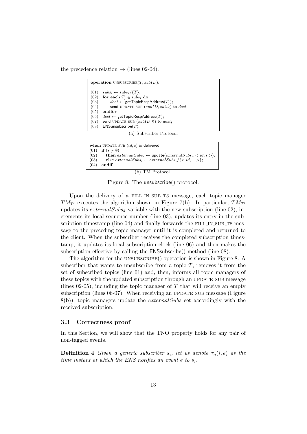the precedence relation  $\rightarrow$  (lines 02-04).

operation UNSUBSCRIBE $(T, subID)$ : (01)  $subs_i \leftarrow subs_i / \{T\};$ (02) for each  $T_i \in subs_i$  do (03)  $dest \leftarrow getTopicResponseAddress(T_j);$ <br>(04) send UPDATE\_SUB  $(subID,subs_i)$ (04) send UPDATE\_SUB  $(subID,subs<sub>i</sub>)$  to dest;<br>(05) endfor (05) endfor (06)  $dest \leftarrow getTopicResponseAddress(T);$ (07) send UPDATE\_SUB  $(subID, \emptyset)$  to  $dest;$  $(08)$  ENSunsubscribe $(T)$ ; (a) Subscriber Protocol when UPDATE\_SUB  $(id, s)$  is delivered: (01) if  $(s \neq \emptyset)$ (02) then  $externalSubs_i \leftarrow \text{update}(externalSubs_i, < id, s >);$ <br>
(03) else  $externalSubs_i \leftarrow externalSubs_i/\{\langle id, - \rangle\};$ (03) else  $externalSubs_i \leftarrow externalSubs_i/{\lbrace \rbrace};$ <br>(04) endif. endif.

(b) TM Protocol

Figure 8: The unsubscribe() protocol.

Upon the delivery of a FILL IN\_SUB\_TS message, each topic manager  $TM_{T'}$  executes the algorithm shown in Figure 7(b). In particular,  $TM_{T'}$ updates its  $\textit{externalSubs}_k$  variable with the new subscription (line 02), increments its local sequence number (line 03), updates its entry in the subscription timestamp (line  $(04)$ ) and finally forwards the FILL IN\_SUB\_TS message to the preceding topic manager until it is completed and returned to the client. When the subscriber receives the completed subscription timestamp, it updates its local subscription clock (line 06) and then makes the subscription effective by calling the ENSsubscribe() method (line 08).

The algorithm for the UNSUBSCRIBE() operation is shown in Figure 8. A subscriber that wants to unsubscribe from a topic  $T$ , removes it from the set of subscribed topics (line 01) and, then, informs all topic managers of these topics with the updated subscription through an UPDATE\_SUB message (lines 02-05), including the topic manager of  $T$  that will receive an empty subscription (lines  $06-07$ ). When receiving an UPDATE\_SUB message (Figure  $8(b)$ , topic managers update the *externalSubs* set accordingly with the received subscription.

#### 3.3 Correctness proof

In this Section, we will show that the TNO property holds for any pair of non-tagged events.

**Definition 4** Given a generic subscriber  $s_i$ , let us denote  $\tau_n(i, e)$  as the time instant at which the ENS notifies an event  $e$  to  $s_i$ .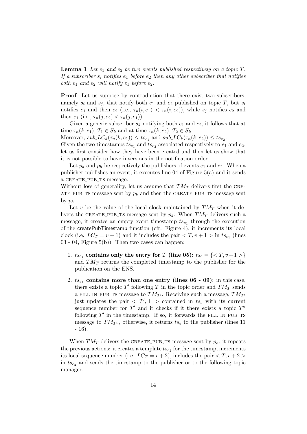**Lemma 1** Let  $e_1$  and  $e_2$  be two events published respectively on a topic  $T$ . If a subscriber  $s_i$  notifies  $e_1$  before  $e_2$  then any other subscriber that notifies both  $e_1$  and  $e_2$  will notify  $e_1$  before  $e_2$ .

Proof Let us suppose by contradiction that there exist two subscribers, namely  $s_i$  and  $s_j$ , that notify both  $e_1$  and  $e_2$  published on topic T, but  $s_i$ notifies  $e_1$  and then  $e_2$  (i.e.,  $\tau_n(i, e_1) < \tau_n(i, e_2)$ ), while  $s_i$  notifies  $e_2$  and then  $e_1$  (i.e.,  $\tau_n(j, e_2) < \tau_n(j, e_1)$ ).

Given a generic subscriber  $s_k$  notifying both  $e_1$  and  $e_2$ , it follows that at time  $\tau_n(k, e_1)$ ,  $T_1 \in S_k$  and at time  $\tau_n(k, e_2)$ ,  $T_2 \in S_k$ .

Moreover,  $sub\_LC_k(\tau_n(k, e_1)) \leq ts_{e_1}$  and  $sub\_LC_k(\tau_n(k, e_2)) \leq ts_{e_2}$ .

Given the two timestamps  $ts_{e_1}$  and  $ts_{e_2}$  associated respectively to  $e_1$  and  $e_2$ , let us first consider how they have been created and then let us show that it is not possible to have inversions in the notification order.

Let  $p_k$  and  $p_h$  be respectively the publishers of events  $e_1$  and  $e_2$ . When a publisher publishes an event, it executes line 04 of Figure 5(a) and it sends a CREATE\_PUB\_TS message.

Without loss of generality, let us assume that  $TM_T$  delivers first the CRE-ATE\_PUB\_TS message sent by  $p_k$  and then the CREATE\_PUB\_TS message sent by  $p_h$ .

Let v be the value of the local clock maintained by  $TM_T$  when it delivers the CREATE\_PUB\_TS message sent by  $p_k$ . When  $TM_T$  delivers such a message, it creates an empty event timestamp  $ts_{e_1}$  through the execution of the createPubTimestamp function (cfr. Figure 4), it increments its local clock (i.e.  $LC_T = v + 1$ ) and it includes the pair  $\langle T, v + 1 \rangle$  in  $ts_{e_1}$  (lines  $03 - 04$ , Figure  $5(b)$ ). Then two cases can happen:

- 1.  $ts_{e_1}$  contains only the entry for T (line 05):  $ts_e = \{ \langle T, v+1 \rangle \}$ and  $TM_T$  returns the completed timestamp to the publisher for the publication on the ENS.
- 2.  $ts_{e_1}$  contains more than one entry (lines 06 09): in this case, there exists a topic  $T'$  following T in the topic order and  $TM_T$  sends a FILL IN PUB TS message to  $TM_{T'}$ . Receiving such a message,  $TM_{T'}$ just updates the pair  $\langle T', \perp \rangle$  contained in t<sub>se</sub> with its current sequence number for  $T'$  and it checks if it there exists a topic  $T''$ following  $T'$  in the timestamp. If so, it forwards the FILL\_IN\_PUB\_TS message to  $TM_{T''}$ , otherwise, it returns  $ts_e$  to the publisher (lines 11 - 16).

When  $TM_T$  delivers the CREATE\_PUB\_TS message sent by  $p_h$ , it repeats the previous actions: it creates a template  $ts_{e_2}$  for the timestamp, increments its local sequence number (i.e.  $LC_T = v + 2$ ), includes the pair  $\langle T, v + 2 \rangle$ in  $ts_{e_2}$  and sends the timestamp to the publisher or to the following topic manager.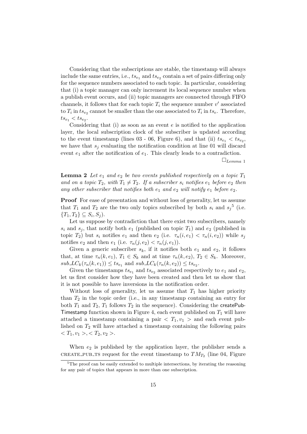Considering that the subscriptions are stable, the timestamp will always include the same entries, i.e.,  $ts_{e_1}$  and  $ts_{e_2}$  contain a set of pairs differing only for the sequence numbers associated to each topic. In particular, considering that (i) a topic manager can only increment its local sequence number when a publish event occurs, and (ii) topic managers are connected through FIFO channels, it follows that for each topic  $T_i$  the sequence number  $v'$  associated to  $T_i$  in  $ts_{e_2}$  cannot be smaller than the one associated to  $T_i$  in  $ts_e$ . Therefore,  $ts_{e_1} < ts_{e_2}.$ 

Considering that (i) as soon as an event  $e$  is notified to the application layer, the local subscription clock of the subscriber is updated according to the event timestamp (lines 03 - 06, Figure 6), and that (ii)  $ts_{e_1} < ts_{e_2}$ , we have that  $s_j$  evaluating the notification condition at line 01 will discard event  $e_1$  after the notification of  $e_1$ . This clearly leads to a contradiction.  $\square_{Lemma\ 1}$ 

**Lemma 2** Let  $e_1$  and  $e_2$  be two events published respectively on a topic  $T_1$ and on a topic  $T_2$ , with  $T_1 \neq T_2$ . If a subscriber  $s_i$  notifies  $e_1$  before  $e_2$  then any other subscriber that notifies both  $e_1$  and  $e_2$  will notify  $e_1$  before  $e_2$ .

Proof For ease of presentation and without loss of generality, let us assume that  $T_1$  and  $T_2$  are the two only topics subscribed by both  $s_i$  and  $s_j^5$  (i.e.  ${T_1, T_2} \subseteq S_i, S_j$ .

Let us suppose by contradiction that there exist two subscribers, namely  $s_i$  and  $s_j$ , that notify both  $e_1$  (published on topic  $T_1$ ) and  $e_2$  (published in topic  $T_2$ ) but  $s_i$  notifies  $e_1$  and then  $e_2$  (i.e.  $\tau_n(i, e_1) < \tau_n(i, e_2)$ ) while  $s_j$ notifies  $e_2$  and then  $e_1$  (i.e.  $\tau_n(j, e_2) < \tau_n(j, e_1)$ ).

Given a generic subscriber  $s_k$ , if it notifies both  $e_1$  and  $e_2$ , it follows that, at time  $\tau_n(k, e_1)$ ,  $T_1 \in S_k$  and at time  $\tau_n(k, e_2)$ ,  $T_2 \in S_k$ . Moreover,  $subLC_k(\tau_n(k, e_1)) \leq ts_{e_1}$  and  $subLC_k(\tau_n(k, e_2)) \leq ts_{e_2}$ .

Given the timestamps  $ts_{e_1}$  and  $ts_{e_2}$  associated respectively to  $e_1$  and  $e_2$ , let us first consider how they have been created and then let us show that it is not possible to have inversions in the notification order.

Without loss of generality, let us assume that  $T_1$  has higher priority than  $T_2$  in the topic order (i.e., in any timestamp containing an entry for both  $T_1$  and  $T_2$ ,  $T_1$  follows  $T_2$  in the sequence). Considering the createPub-Timestamp function shown in Figure 4, each event published on  $T_1$  will have attached a timestamp containing a pair  $\langle T_1, v_1 \rangle$  and each event published on  $T_2$  will have attached a timestamp containing the following pairs  $T_1, v_1 > 0 < T_2, v_2 > 0$ 

When  $e_2$  is published by the application layer, the publisher sends a CREATE\_PUB\_TS request for the event timestamp to  $TM_{T_2}$  (line 04, Figure

 ${}^{5}$ The proof can be easily extended to multiple intersections, by iterating the reasoning for any pair of topics that appears in more than one subscription.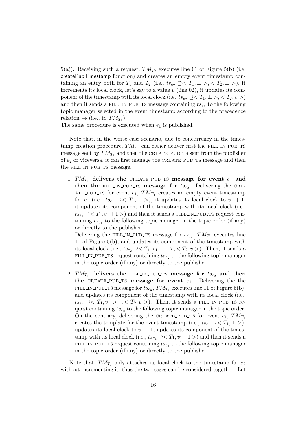$5(a)$ ). Receiving such a request,  $TM_{T_2}$  executes line 01 of Figure 5(b) (i.e. createPubTimestamp function) and creates an empty event timestamp containing an entry both for  $T_1$  and  $T_2$  (i.e.,  $ts_{e_2} \supseteq < T_1, \perp > \, < T_2, \perp > \,$ ), it increments its local clock, let's say to a value  $v$  (line 02), it updates its component of the timestamp with its local clock (i.e.  $ts_{e_2} \supseteq \supseteq T_1, \perp, \supseteq, \supseteq T_2, v >$ ) and then it sends a FILL\_IN\_PUB\_TS message containing  $ts_{e_2}$  to the following topic manager selected in the event timestamp according to the precedence relation  $\rightarrow$  (i.e., to  $TM_{T_1}$ ).

The same procedure is executed when  $e_1$  is published.

Note that, in the worse case scenario, due to concurrency in the timestamp creation procedure,  $TM_{T_1}$  can either deliver first the FILL\_IN\_PUB\_TS message sent by  $TM_{T_2}$  and then the CREATE\_PUB\_TS sent from the publisher of  $e_2$  or viceversa, it can first manage the CREATE\_PUB\_TS message and then the FILL\_IN\_PUB\_TS message.

1.  $TM_{T_1}$  delivers the CREATE\_PUB\_TS message for event  $e_1$  and then the FILL IN PUB TS message for  $ts_{e_2}$ . Delivering the CRE-ATE\_PUB\_TS for event  $e_1$ ,  $TM_{T_1}$  creates an empty event timestamp for  $e_1$  (i.e.,  $ts_{e_1} \supseteq \langle T_1, \perp \rangle$ ), it updates its local clock to  $v_1 + 1$ , it updates its component of the timestamp with its local clock (i.e.,  $ts_{e_1} \supseteq \supseteq T_1, v_1 + 1 >$  and then it sends a FILL IN PUB TS request containing  $ts_{e_1}$  to the following topic manager in the topic order (if any) or directly to the publisher.

Delivering the FILL\_IN\_PUB\_TS message for  $ts_{e_2}$ ,  $TM_{T_1}$  executes line 11 of Figure 5(b), and updates its component of the timestamp with its local clock (i.e.,  $ts_{e_2} \supseteq \supseteq T_1, v_1 + 1 > \supsetsub> \supseteq T_2, v >$ ). Then, it sends a FILL\_IN\_PUB\_TS request containing  $t s_{e_2}$  to the following topic manager in the topic order (if any) or directly to the publisher.

2.  $TM_{T_1}$  delivers the FILL IN PUB TS message for  $ts_{e_2}$  and then the CREATE\_PUB\_TS message for event  $e_1$ . Delivering the the FILL\_IN\_PUB\_TS message for  $ts_{e_2}$ ,  $TM_{T_1}$  executes line 11 of Figure 5(b), and updates its component of the timestamp with its local clock (i.e.,  $ts_{e_2} \supseteq < T_1, v_1 > \dots < T_2, v >$ . Then, it sends a FILL\_IN\_PUB\_TS request containing  $ts_{e_2}$  to the following topic manager in the topic order. On the contrary, delivering the CREATE\_PUB\_TS for event  $e_1$ ,  $TM_{T_1}$ creates the template for the event timestamp (i.e.,  $ts_{e_1} \supseteq \supseteq T_1, \perp >$ ), updates its local clock to  $v_1 + 1$ , updates its component of the timestamp with its local clock (i.e.,  $ts_{e_1} \supseteq \supseteq T_1, v_1 + 1 >$ ) and then it sends a FILL\_IN\_PUB\_TS request containing  $t s_{e_1}$  to the following topic manager in the topic order (if any) or directly to the publisher.

Note that,  $TM_{T_1}$  only attaches its local clock to the timestamp for  $e_2$ without incrementing it; thus the two cases can be considered together. Let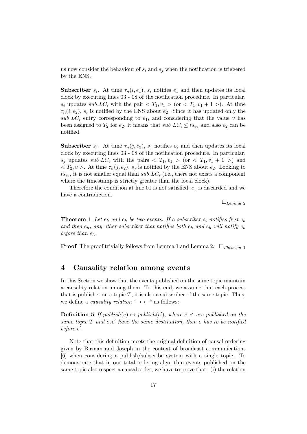us now consider the behaviour of  $s_i$  and  $s_j$  when the notification is triggered by the ENS.

**Subscriber**  $s_i$ . At time  $\tau_n(i, e_1)$ ,  $s_i$  notifies  $e_1$  and then updates its local clock by executing lines 03 - 08 of the notification procedure. In particular,  $s_i$  updates sub LC<sub>i</sub> with the pair  $\langle T_1, v_1 \rangle$  (or  $\langle T_1, v_1 + 1 \rangle$ ). At time  $\tau_n(i, e_2)$ ,  $s_i$  is notified by the ENS about  $e_2$ . Since it has updated only the  $sub\_LC_i$  entry corresponding to  $e_1$ , and considering that the value v has been assigned to  $T_2$  for  $e_2$ , it means that  $sub\_LC_i \leq ts_{e_2}$  and also  $e_2$  can be notified.

**Subscriber**  $s_j$ . At time  $\tau_n(j, e_2)$ ,  $s_j$  notifies  $e_2$  and then updates its local clock by executing lines 03 - 08 of the notification procedure. In particular,  $s_i$  updates sub LC<sub>i</sub> with the pairs  $\langle T_1, v_1 \rangle$  (or  $\langle T_1, v_1 + 1 \rangle$ ) and  $\langle T_2, v \rangle$ . At time  $\tau_n(j, e_2), s_j$  is notified by the ENS about  $e_2$ . Looking to  $ts_{e_2}$ , it is not smaller equal than  $sub$ LC<sub>i</sub> (i.e., there not exists a component where the timestamp is strictly greater than the local clock).

Therefore the condition at line 01 is not satisfied,  $e_1$  is discarded and we have a contradiction.

 $\square_{Lemma\ 2}$ 

**Theorem 1** Let  $e_k$  and  $e_h$  be two events. If a subscriber  $s_i$  notifies first  $e_k$ and then  $e_h$ , any other subscriber that notifies both  $e_k$  and  $e_h$  will notify  $e_k$ before than  $e_h$ .

**Proof** The proof trivially follows from Lemma 1 and Lemma 2.  $\Box_{Theorem 1}$ 

#### 4 Causality relation among events

In this Section we show that the events published on the same topic maintain a causality relation among them. To this end, we assume that each process that is publisher on a topic  $T$ , it is also a subscriber of the same topic. Thus, we define a *causality relation* "  $\mapsto$  " as follows:

**Definition 5** If  $public$ )  $\mapsto$   $public$ , where e, e' are published on the same topic  $T$  and  $e, e'$  have the same destination, then e has to be notified before  $e'$ .

Note that this definition meets the original definition of causal ordering given by Birman and Joseph in the context of broadcast communications [6] when considering a publish/subscribe system with a single topic. To demonstrate that in our total ordering algorithm events published on the same topic also respect a causal order, we have to prove that: (i) the relation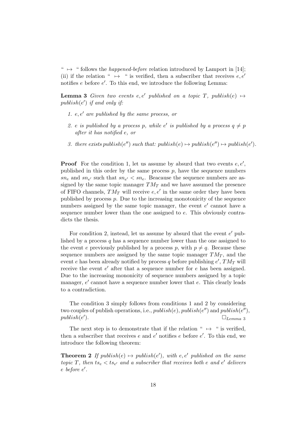"  $\mapsto$  " follows the *happened-before* relation introduced by Lamport in [14]; (ii) if the relation "  $\mapsto$  " is verified, then a subscriber that receives e, e' notifies  $e$  before  $e'$ . To this end, we introduce the following Lemma:

**Lemma 3** Given two events e, e' published on a topic T, publish(e)  $\mapsto$  $\text{pubits} (e')$  if and only if:

- 1. e,  $e'$  are published by the same process, or
- 2. e is published by a process p, while e' is published by a process  $q \neq p$ after it has notified e, or
- 3. there exists publish(e'') such that:  $\text{publish}(e) \mapsto \text{publish}(e'') \mapsto \text{publish}(e').$

**Proof** For the condition 1, let us assume by absurd that two events  $e, e',$ published in this order by the same process  $p$ , have the sequence numbers  $sn_e$  and  $sn_{e'}$  such that  $sn_{e'} < sn_e$ . Beacause the sequence numbers are assigned by the same topic manager  $TM_T$  and we have assumed the presence of FIFO channels,  $TM_T$  will receive  $e, e'$  in the same order they have been published by process p. Due to the increasing monotonicity of the sequence numbers assigned by the same topic manager, the event  $e'$  cannot have a sequence number lower than the one assigned to  $e$ . This obviously contradicts the thesis.

For condition 2, instead, let us assume by absurd that the event  $e'$  published by a process  $q$  has a sequence number lower than the one assigned to the event e previously published by a process p, with  $p \neq q$ . Because these sequence numbers are assigned by the same topic manager  $TM_T$ , and the event e has been already notified by process q before publishing  $e', TM_T$  will receive the event  $e'$  after that a sequence number for  $e$  has been assigned. Due to the increasing mononicity of sequence numbers assigned by a topic manager,  $e'$  cannot have a sequence number lower that  $e$ . This clearly leads to a contradiction.

The condition 3 simply follows from conditions 1 and 2 by considering two couples of publish operations, i.e.,  $public$ ),  $public$ <sup>'</sup>), and  $public'$ <sup>'</sup>),  $public$  $\square_{Lemma\ 3}$ 

The next step is to demonstrate that if the relation "  $\mapsto$  " is verified, then a subscriber that receives  $e$  and  $e'$  notifies  $e$  before  $e'$ . To this end, we introduce the following theorem:

**Theorem 2** If  $public$   $\mapsto$   $public'$ , with  $e, e'$   $public'$  on the same topic T, then  $ts_e < ts_{e'}$  and a subscriber that receives both e and  $e'$  delivers e before e'.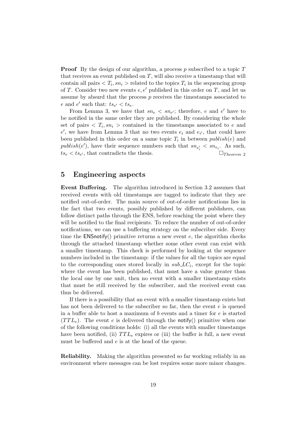**Proof** By the design of our algorithm, a process p subscribed to a topic  $T$ that receives an event published on  $T$ , will also receive a timestamp that will contain all pairs  $\langle T_i, sn_i \rangle$  related to the topics  $T_i$  in the sequencing group of T. Consider two new events  $e, e'$  published in this order on T, and let us assume by absurd that the process  $p$  receives the timestamps associated to e and e' such that:  $ts_{e'} < ts_e$ .

From Lemma 3, we have that  $sn_e < sn_{e'}$ ; therefore, e and e' have to be notified in the same order they are published. By considering the whole set of pairs  $\langle T_i, sn_i \rangle$  contained in the timestamps associated to e and  $e'$ , we have from Lemma 3 that no two events  $e_i$  and  $e_{i'}$ , that could have been published in this order on a same topic  $T_i$  in between  $\textit{published}(e)$  and  $public'),$  have their sequence numbers such that  $sn_{e'_i} < sn_{e_i}$ . As such,  $ts_e < ts_{e'}$ , that contradicts the thesis.  $\square_{Theorem\ 2}$ 

#### 5 Engineering aspects

Event Buffering. The algorithm introduced in Section 3.2 assumes that received events with old timestamps are tagged to indicate that they are notified out-of-order. The main source of out-of-order notifications lies in the fact that two events, possibly published by different publishers, can follow distinct paths through the ENS, before reaching the point where they will be notified to the final recipients. To reduce the number of out-of-order notifications, we can use a buffering strategy on the subscriber side. Every time the  $ENSnotify()$  primitive returns a new event e, the algorithm checks through the attached timestamp whether some other event can exist with a smaller timestamp. This check is performed by looking at the sequence numbers included in the timestamp: if the values for all the topics are equal to the corresponding ones stored locally in  $sub\_LC_i$ , except for the topic where the event has been published, that must have a value greater than the local one by one unit, then no event with a smaller timestamp exists that must be still received by the subscriber, and the received event can thus be delivered.

If there is a possibility that an event with a smaller timestamp exists but has not been delivered to the subscriber so far, then the event  $e$  is queued in a buffer able to host a maximum of b events and a timer for  $e$  is started  $(TTL_e)$ . The event e is delivered through the notify() primitive when one of the following conditions holds: (i) all the events with smaller timestamps have been notified, (ii)  $TTL_e$  expires or (iii) the buffer is full, a new event must be buffered and e is at the head of the queue.

Reliability. Making the algorithm presented so far working reliably in an environment where messages can be lost requires some more minor changes.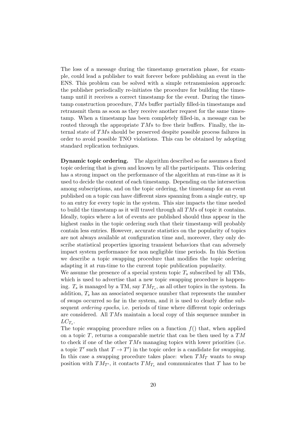The loss of a message during the timestamp generation phase, for example, could lead a publisher to wait forever before publishing an event in the ENS. This problem can be solved with a simple retransmission approach: the publisher periodically re-initiates the procedure for building the timestamp until it receives a correct timestamp for the event. During the timestamp construction procedure, TMs buffer partially filled-in timestamps and retransmit them as soon as they receive another request for the same timestamp. When a timestamp has been completely filled-in, a message can be routed through the appropriate  $T\overline{M}$ s to free their buffers. Finally, the internal state of TMs should be preserved despite possible process failures in order to avoid possible TNO violations. This can be obtained by adopting standard replication techniques.

Dynamic topic ordering. The algorithm described so far assumes a fixed topic ordering that is given and known by all the participants. This ordering has a strong impact on the performance of the algorithm at run-time as it is used to decide the content of each timestamp. Depending on the intersection among subscriptions, and on the topic ordering, the timestamp for an event published on a topic can have different sizes spanning from a single entry, up to an entry for every topic in the system. This size impacts the time needed to build the timestamp as it will travel through all TMs of topic it contains. Ideally, topics where a lot of events are published should thus appear in the highest ranks in the topic ordering such that their timestamp will probably contain less entries. However, accurate statistics on the popularity of topics are not always available at configuration time and, moreover, they only describe statistical properties ignoring transient behaviors that can adversely impact system performance for non negligible time periods. In this Section we describe a topic swapping procedure that modifies the topic ordering adapting it at run-time to the current topic publication popularity.

We assume the presence of a special system topic  $T_s$  subscribed by all TMs, which is used to advertise that a new topic swapping procedure is happening.  $T_s$  is managed by a TM, say  $TM_{T_s}$ , as all other topics in the system. In addition,  $T_s$  has an associated sequence number that represents the number of swaps occurred so far in the system, and it is used to clearly define subsequent ordering epochs, i.e. periods of time where different topic orderings are considered. All TMs maintain a local copy of this sequence number in  $LC_{T_s}$ .

The topic swapping procedure relies on a function  $f()$  that, when applied on a topic  $T$ , returns a comparable metric that can be then used by a  $TM$ to check if one of the other  $T\mathcal{M}s$  managing topics with lower priorities (i.e. a topic  $T'$  such that  $T \to T'$  in the topic order is a candidate for swapping. In this case a swapping procedure takes place: when  $TM_T$  wants to swap position with  $TM_{T'}$ , it contacts  $TM_{T_s}$  and communicates that T has to be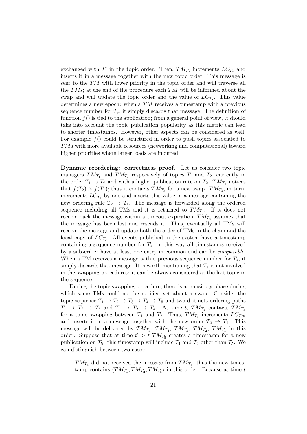exchanged with  $T'$  in the topic order. Then,  $TM_{T_s}$  increments  $LC_{T_s}$  and inserts it in a message together with the new topic order. This message is sent to the TM with lower priority in the topic order and will traverse all the  $TMS$ ; at the end of the procedure each  $TM$  will be informed about the swap and will update the topic order and the value of  $LC_{T_s}$ . This value determines a new epoch: when a  $TM$  receives a timestamp with a previous sequence number for  $T_s$ , it simply discards that message. The definition of function  $f()$  is tied to the application; from a general point of view, it should take into account the topic publication popularity as this metric can lead to shorter timestamps. However, other aspects can be considered as well. For example  $f()$  could be structured in order to push topics associated to TMs with more available resources (networking and computational) toward higher priorities where larger loads are incurred.

Dynamic reordering: correctness proof. Let us consider two topic managers  $TM_{T_1}$  and  $TM_{T_2}$  respectively of topics  $T_1$  and  $T_2$ , currently in the order  $T_1 \rightarrow T_2$  and with a higher publication rate on  $T_2$ .  $TM_{T_1}$  notices that  $f(T_2) > f(T_1)$ ; thus it contacts  $TM_{T_s}$  for a new swap.  $TM_{T_s}$ , in turn, increments  $LC_T$ , by one and inserts this value in a message containing the new ordering rule  $T_2 \rightarrow T_1$ . The message is forwarded along the ordered sequence including all TMs and it is returned to  $TM_{T_s}$ . If it does not receive back the message within a timeout expiration,  $TM_{T_s}$  assumes that the message has been lost and resends it. Thus, eventually all TMs will receive the message and update both the order of TMs in the chain and the local copy of  $LC_{T_s}$ . All events published in the system have a timestamp containing a sequence number for  $T_s$ : in this way all timestamps received by a subscriber have at least one entry in common and can be comparable. When a TM receives a message with a previous sequence number for  $T_s$ , it simply discards that message. It is worth mentioning that  $T_s$  is not involved in the swapping procedures: it can be always considered as the last topic in the sequence.

During the topic swapping procedure, there is a transitory phase during which some TMs could not be notified yet about a swap. Consider the topic sequence  $T_1 \rightarrow T_2 \rightarrow T_3 \rightarrow T_4 \rightarrow T_5$  and two distincts ordering paths  $T_1 \rightarrow T_2 \rightarrow T_5$  and  $T_1 \rightarrow T_2 \rightarrow T_4$ . At time t,  $TM_{T_1}$  contacts  $TM_{T_s}$ for a topic swapping between  $T_1$  and  $T_2$ . Thus,  $TM_{T_s}$  increments  $LC_{Tm}$ and inserts it in a message together with the new order  $T_2 \rightarrow T_1$ . This message will be delivered by  $TM_{T_5}$ ,  $TM_{T_4}$ ,  $TM_{T_3}$ ,  $TM_{T_2}$ ,  $TM_{T_1}$  in this order. Suppose that at time  $t' > t$   $TM_{T_5}$  creates a timestamp for a new publication on  $T_5$ : this timestamp will include  $T_1$  and  $T_2$  other than  $T_5$ . We can distinguish between two cases:

1.  $TM_{T_5}$  did not received the message from  $TM_{T_s}$ , thus the new timestamp contains  $\langle TM_{T_1}, TM_{T_2}, TM_{T_5} \rangle$  in this order. Because at time t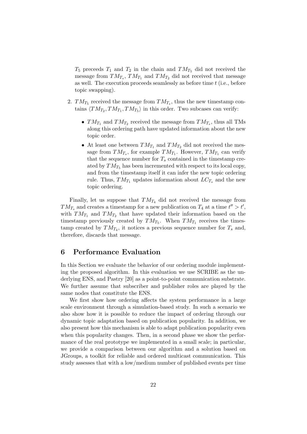$T_5$  preceeds  $T_1$  and  $T_2$  in the chain and  $TM_{T_5}$  did not received the message from  $TM_{T_s}$ ,  $TM_{T_1}$  and  $TM_{T_2}$  did not received that message as well. The execution proceeds seamlessly as before time t (i.e., before topic swapping).

- 2.  $TM_{T_5}$  received the message from  $TM_{T_s}$ , thus the new timestamp contains  $\langle TM_{T_2}, TM_{T_1}, TM_{T_5} \rangle$  in this order. Two subcases can verify:
	- $TM_{T_1}$  and  $TM_{T_2}$  received the message from  $TM_{T_s}$ , thus all TMs along this ordering path have updated information about the new topic order.
	- At least one between  $TM_{T_1}$  and  $TM_{T_2}$  did not received the message from  $TM_{T_s}$ , for example  $TM_{T_1}$ . However,  $TM_{T_1}$  can verify that the sequence number for  $T_s$  contained in the timestamp created by  $TM_{T_5}$  has been incremented with respect to its local copy, and from the timestamp itself it can infer the new topic ordering rule. Thus,  $TM_{T_1}$  updates information about  $LC_{T_s}$  and the new topic ordering.

Finally, let us suppose that  $TM_{T_4}$  did not received the message from  $TM_{T_s}$  and creates a timestamp for a new publication on  $T_4$  at a time  $t'' > t'$ , with  $TM_{T_1}$  and  $TM_{T_2}$  that have updated their information based on the timestamp previously created by  $TM_{T_5}$ . When  $TM_{T_1}$  receives the timestamp created by  $TM_{T_4}$ , it notices a previous sequence number for  $T_s$  and, therefore, discards that message.

### 6 Performance Evaluation

In this Section we evaluate the behavior of our ordering module implementing the proposed algorithm. In this evaluation we use SCRIBE as the underlying ENS, and Pastry [20] as a point-to-point communication substrate. We further assume that subscriber and publisher roles are played by the same nodes that constitute the ENS.

We first show how ordering affects the system performance in a large scale environment through a simulation-based study. In such a scenario we also show how it is possible to reduce the impact of ordering through our dynamic topic adaptation based on publication popularity. In addition, we also present how this mechanism is able to adapt publication popularity even when this popularity changes. Then, in a second phase we show the performance of the real prototype we implemented in a small scale; in particular, we provide a comparison between our algorithm and a solution based on JGroups, a toolkit for reliable and ordered multicast communication. This study assesses that with a low/medium number of published events per time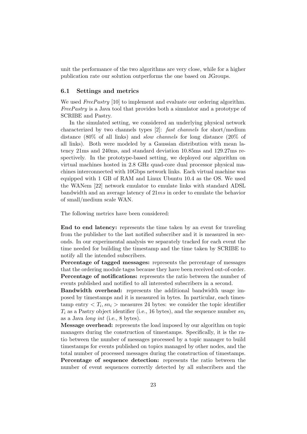unit the performance of the two algorithms are very close, while for a higher publication rate our solution outperforms the one based on JGroups.

#### 6.1 Settings and metrics

We used FreePastry [10] to implement and evaluate our ordering algorithm. Free Pastry is a Java tool that provides both a simulator and a prototype of SCRIBE and Pastry.

In the simulated setting, we considered an underlying physical network characterized by two channels types [2]: fast channels for short/medium distance (80% of all links) and slow channels for long distance (20% of all links). Both were modeled by a Gaussian distribution with mean latency 21ms and 240ms, and standard deviation 10.85ms and 129.27ms respectively. In the prototype-based setting, we deployed our algorithm on virtual machines hosted in 2.8 GHz quad-core dual processor physical machines interconnected with 10Gbps network links. Each virtual machine was equipped with 1 GB of RAM and Linux Ubuntu 10.4 as the OS. We used the WANem [22] network emulator to emulate links with standard ADSL bandwidth and an average latency of  $21ms$  in order to emulate the behavior of small/medium scale WAN.

The following metrics have been considered:

End to end latency: represents the time taken by an event for traveling from the publisher to the last notified subscriber and it is measured in seconds. In our experimental analysis we separately tracked for each event the time needed for building the timestamp and the time taken by SCRIBE to notify all the intended subscribers.

Percentage of tagged messages: represents the percentage of messages that the ordering module tagss because they have been received out-of-order. Percentage of notifications: represents the ratio between the number of events published and notified to all interested subscribers in a second.

Bandwidth overhead: represents the additional bandwidth usage imposed by timestamps and it is measured in bytes. In particular, each times- $\tanh$  entry  $\langle T_i, sn_i \rangle$  measures 24 bytes: we consider the topic identifier  $T_i$  as a Pastry object identifier (i.e., 16 bytes), and the sequence number  $sn_i$ as a Java long int (i.e., 8 bytes).

Message overhead: represents the load imposed by our algorithm on topic managers during the construction of timestamps. Specifically, it is the ratio between the number of messages processed by a topic manager to build timestamps for events published on topics managed by other nodes, and the total number of processed messages during the construction of timestamps. Percentage of sequence detection: represents the ratio between the number of event sequences correctly detected by all subscribers and the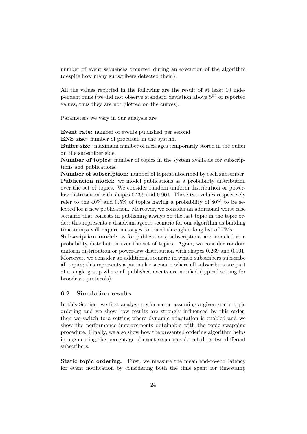number of event sequences occurred during an execution of the algorithm (despite how many subscribers detected them).

All the values reported in the following are the result of at least 10 independent runs (we did not observe standard deviation above 5% of reported values, thus they are not plotted on the curves).

Parameters we vary in our analysis are:

Event rate: number of events published per second.

ENS size: number of processes in the system.

Buffer size: maximum number of messages temporarily stored in the buffer on the subscriber side.

Number of topics: number of topics in the system available for subscriptions and publications.

Number of subscription: number of topics subscribed by each subscriber. Publication model: we model publications as a probability distribution over the set of topics. We consider random uniform distribution or powerlaw distribution with shapes 0.269 and 0.901. These two values respectively refer to the 40% and 0.5% of topics having a probability of 80% to be selected for a new publication. Moreover, we consider an additional worst case scenario that consists in publishing always on the last topic in the topic order; this represents a disadvantageous scenario for our algorithm as building timestamps will require messages to travel through a long list of TMs.

Subscription model: as for publications, subscriptions are modeled as a probability distribution over the set of topics. Again, we consider random uniform distribution or power-law distribution with shapes 0.269 and 0.901. Moreover, we consider an additional scenario in which subscribers subscribe all topics; this represents a particular scenario where all subscribers are part of a single group where all published events are notified (typical setting for broadcast protocols).

#### 6.2 Simulation results

In this Section, we first analyze performance assuming a given static topic ordering and we show how results are strongly influenced by this order, then we switch to a setting where dynamic adaptation is enabled and we show the performance improvements obtainable with the topic swapping procedure. Finally, we also show how the presented ordering algorithm helps in augmenting the percentage of event sequences detected by two different subscribers.

Static topic ordering. First, we measure the mean end-to-end latency for event notification by considering both the time spent for timestamp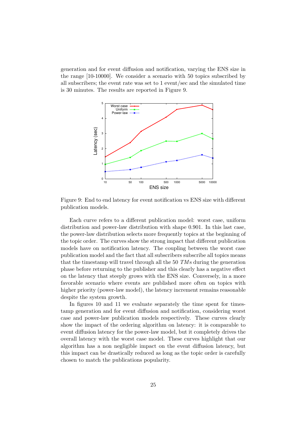generation and for event diffusion and notification, varying the ENS size in the range [10-10000]. We consider a scenario with 50 topics subscribed by all subscribers; the event rate was set to 1 event/sec and the simulated time is 30 minutes. The results are reported in Figure 9.



Figure 9: End to end latency for event notification vs ENS size with different publication models.

Each curve refers to a different publication model: worst case, uniform distribution and power-law distribution with shape 0.901. In this last case, the power-law distribution selects more frequently topics at the beginning of the topic order. The curves show the strong impact that different publication models have on notification latency. The coupling between the worst case publication model and the fact that all subscribers subscribe all topics means that the timestamp will travel through all the  $50$  TMs during the generation phase before returning to the publisher and this clearly has a negative effect on the latency that steeply grows with the ENS size. Conversely, in a more favorable scenario where events are published more often on topics with higher priority (power-law model), the latency increment remains reasonable despite the system growth.

In figures 10 and 11 we evaluate separately the time spent for timestamp generation and for event diffusion and notification, considering worst case and power-law publication models respectively. These curves clearly show the impact of the ordering algorithm on latency: it is comparable to event diffusion latency for the power-law model, but it completely drives the overall latency with the worst case model. These curves highlight that our algorithm has a non negligible impact on the event diffusion latency, but this impact can be drastically reduced as long as the topic order is carefully chosen to match the publications popularity.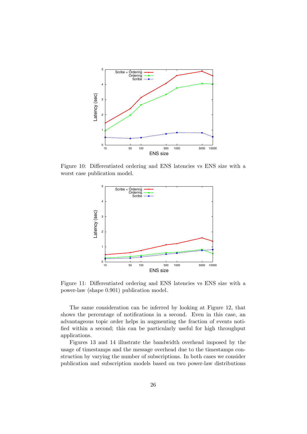

Figure 10: Differentiated ordering and ENS latencies vs ENS size with a worst case publication model.



Figure 11: Differentiated ordering and ENS latencies vs ENS size with a power-law (shape 0.901) publication model.

The same consideration can be inferred by looking at Figure 12, that shows the percentage of notifications in a second. Even in this case, an advantageous topic order helps in augmenting the fraction of events notified within a second; this can be particularly useful for high throughput applications.

Figures 13 and 14 illustrate the bandwidth overhead imposed by the usage of timestamps and the message overhead due to the timestamps construction by varying the number of subscriptions. In both cases we consider publication and subscription models based on two power-law distributions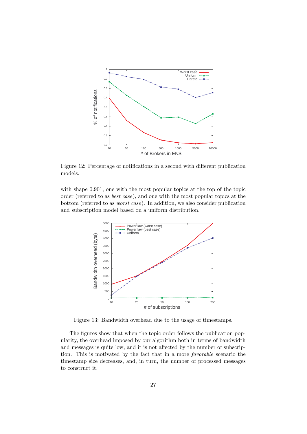

Figure 12: Percentage of notifications in a second with different publication models.

with shape 0.901, one with the most popular topics at the top of the topic order (referred to as best case), and one with the most popular topics at the bottom (referred to as worst case). In addition, we also consider publication and subscription model based on a uniform distribution.



Figure 13: Bandwidth overhead due to the usage of timestamps.

The figures show that when the topic order follows the publication popularity, the overhead imposed by our algorithm both in terms of bandwidth and messages is quite low, and it is not affected by the number of subscription. This is motivated by the fact that in a more favorable scenario the timestamp size decreases, and, in turn, the number of processed messages to construct it.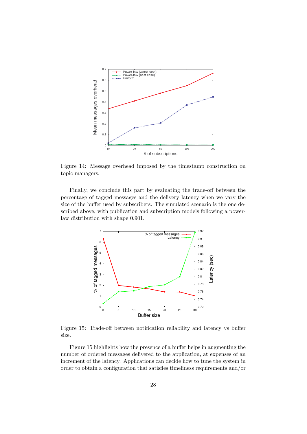

Figure 14: Message overhead imposed by the timestamp construction on topic managers.

Finally, we conclude this part by evaluating the trade-off between the percentage of tagged messages and the delivery latency when we vary the size of the buffer used by subscribers. The simulated scenario is the one described above, with publication and subscription models following a powerlaw distribution with shape 0.901.



Figure 15: Trade-off between notification reliability and latency vs buffer size.

Figure 15 highlights how the presence of a buffer helps in augmenting the number of ordered messages delivered to the application, at expenses of an increment of the latency. Applications can decide how to tune the system in order to obtain a configuration that satisfies timeliness requirements and/or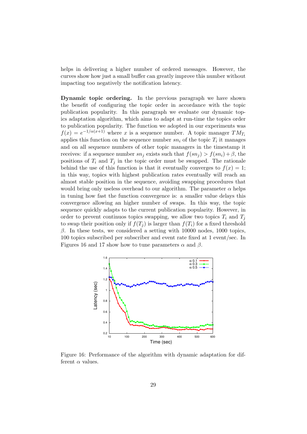helps in delivering a higher number of ordered messages. However, the curves show how just a small buffer can greatly improve this number without impacting too negatively the notification latency.

Dynamic topic ordering. In the previous paragraph we have shown the benefit of configuring the topic order in accordance with the topic publication popularity. In this paragraph we evaluate our dynamic topics adaptation algorithm, which aims to adapt at run-time the topics order to publication popularity. The function we adopted in our experiments was  $f(x) = e^{-1/\alpha(x+1)}$  where x is a sequence number. A topic manager  $TM_{T_i}$ applies this function on the sequence number  $sn_i$  of the topic  $T_i$  it manages and on all sequence numbers of other topic managers in the timestamp it receives: if a sequence number  $sn_j$  exists such that  $f(sn_i) > f(sn_i) + \beta$ , the positions of  $T_i$  and  $T_j$  in the topic order must be swapped. The rationale behind the use of this function is that it eventually converges to  $f(x) = 1$ ; in this way, topics with highest publication rates eventually will reach an almost stable position in the sequence, avoiding swapping procedures that would bring only useless overhead to our algorithm. The parameter  $\alpha$  helps in tuning how fast the function convergence is: a smaller value delays this convergence allowing an higher number of swaps. In this way, the topic sequence quickly adapts to the current publication popularity. However, in order to prevent continuos topics swapping, we allow two topics  $T_i$  and  $T_j$ to swap their position only if  $f(T_i)$  is larger than  $f(T_i)$  for a fixed threshold β. In these tests, we considered a setting with 10000 nodes, 1000 topics, 100 topics subscribed per subscriber and event rate fixed at 1 event/sec. In Figures 16 and 17 show how to tune parameters  $\alpha$  and  $\beta$ .



Figure 16: Performance of the algorithm with dynamic adaptation for different  $\alpha$  values.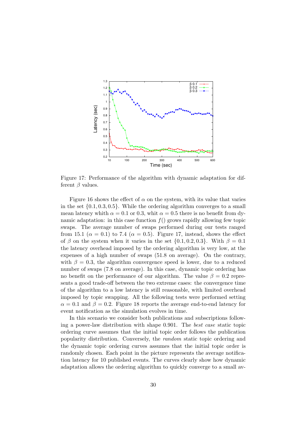

Figure 17: Performance of the algorithm with dynamic adaptation for different  $\beta$  values.

Figure 16 shows the effect of  $\alpha$  on the system, with its value that varies in the set  $\{0.1, 0.3, 0.5\}$ . While the ordering algorithm converges to a small mean latency whith  $\alpha = 0.1$  or 0.3, whit  $\alpha = 0.5$  there is no benefit from dynamic adaptation: in this case function  $f()$  grows rapidly allowing few topic swaps. The average number of swaps performed during our tests ranged from 15.1 ( $\alpha = 0.1$ ) to 7.4 ( $\alpha = 0.5$ ). Figure 17, instead, shows the effect of β on the system when it varies in the set  $\{0.1, 0.2, 0.3\}$ . With  $\beta = 0.1$ the latency overhead imposed by the ordering algorithm is very low, at the expenses of a high number of swaps (51.8 on average). On the contrary, with  $\beta = 0.3$ , the algorithm convergence speed is lower, due to a reduced number of swaps (7.8 on average). In this case, dynamic topic ordering has no benefit on the performance of our algorithm. The value  $\beta = 0.2$  represents a good trade-off between the two extreme cases: the convergence time of the algorithm to a low latency is still reasonable, with limited overhead imposed by topic swapping. All the following tests were performed setting  $\alpha = 0.1$  and  $\beta = 0.2$ . Figure 18 reports the average end-to-end latency for event notification as the simulation evolves in time.

In this scenario we consider both publications and subscriptions following a power-law distribution with shape 0.901. The best case static topic ordering curve assumes that the initial topic order follows the publication popularity distribution. Conversely, the random static topic ordering and the dynamic topic ordering curves assumes that the initial topic order is randomly chosen. Each point in the picture represents the average notification latency for 10 published events. The curves clearly show how dynamic adaptation allows the ordering algorithm to quickly converge to a small av-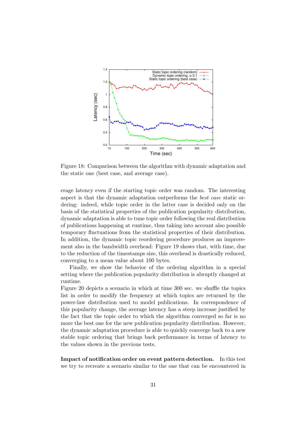

Figure 18: Comparison between the algorithm with dynamic adaptation and the static one (best case, and average case).

erage latency even if the starting topic order was random. The interesting aspect is that the dynamic adaptation outperforms the best case static ordering: indeed, while topic order in the latter case is decided only on the basis of the statistical properties of the publication popularity distribution, dynamic adaptation is able to tune topic order following the real distribution of publications happening at runtime, thus taking into account also possible temporary fluctuations from the statistical properties of their distribution. In addition, the dynamic topic reordering procedure produces an improvement also in the bandwidth overhead: Figure 19 shows that, with time, due to the reduction of the timestamps size, this overhead is drastically reduced, converging to a mean value about 100 bytes.

Finally, we show the behavior of the ordering algorithm in a special setting where the publication popularity distribution is abruptly changed at runtime.

Figure 20 depicts a scenario in which at time 300 sec. we shuffle the topics list in order to modify the frequency at which topics are returned by the power-law distribution used to model publications. In correspondence of this popularity change, the average latency has a steep increase justified by the fact that the topic order to which the algorithm converged so far is no more the best one for the new publication popularity distribution. However, the dynamic adaptation procedure is able to quickly converge back to a new stable topic ordering that brings back performance in terms of latency to the values shown in the previous tests.

Impact of notification order on event pattern detection. In this test we try to recreate a scenario similar to the one that can be encountered in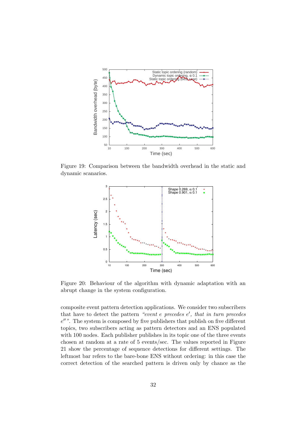

Figure 19: Comparison between the bandwidth overhead in the static and dynamic scanarios.



Figure 20: Behaviour of the algorithm with dynamic adaptation with an abrupt change in the system configuration.

composite event pattern detection applications. We consider two subscribers that have to detect the pattern "event  $e$  precedes  $e'$ , that in turn precedes  $e''$ ". The system is composed by five publishers that publish on five different topics, two subscribers acting as pattern detectors and an ENS populated with 100 nodes. Each publisher publishes in its topic one of the three events chosen at random at a rate of 5 events/sec. The values reported in Figure 21 show the percentage of sequence detections for different settings. The leftmost bar refers to the bare-bone ENS without ordering: in this case the correct detection of the searched pattern is driven only by chance as the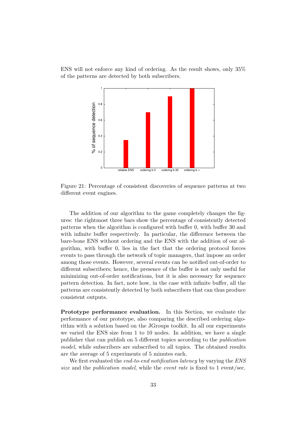ENS will not enforce any kind of ordering. As the result shows, only 35% of the patterns are detected by both subscribers.



Figure 21: Percentage of consistent discoveries of sequence patterns at two different event engines.

The addition of our algorithm to the game completely changes the figures: the rightmost three bars show the percentage of consistently detected patterns when the algorithm is configured with buffer 0, with buffer 30 and with infinite buffer respectively. In particular, the difference between the bare-bone ENS without ordering and the ENS with the addition of our algorithm, with buffer 0, lies in the fact that the ordering protocol forces events to pass through the network of topic managers, that impose an order among those events. However, several events can be notified out-of-order to different subscribers; hence, the presence of the buffer is not only useful for minimizing out-of-order notifications, but it is also necessary for sequence pattern detection. In fact, note how, in the case with infinite buffer, all the patterns are consistently detected by both subscribers that can thus produce consistent outputs.

Prototype performance evaluation. In this Section, we evaluate the performance of our prototype, also comparing the described ordering algorithm with a solution based on the JGroups toolkit. In all our experiments we varied the ENS size from 1 to 10 nodes. In addition, we have a single publisher that can publish on 5 different topics according to the publication model, while subscribers are subscribed to all topics. The obtained results are the average of 5 experiments of 5 minutes each.

We first evaluated the end-to-end notification latency by varying the ENS size and the *publication model*, while the *event rate* is fixed to 1 event/sec.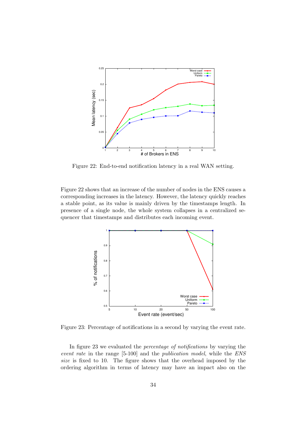

Figure 22: End-to-end notification latency in a real WAN setting.

Figure 22 shows that an increase of the number of nodes in the ENS causes a corresponding increases in the latency. However, the latency quickly reaches a stable point, as its value is mainly driven by the timestamps length. In presence of a single node, the whole system collapses in a centralized sequencer that timestamps and distributes each incoming event.



Figure 23: Percentage of notifications in a second by varying the event rate.

In figure 23 we evaluated the percentage of notifications by varying the event rate in the range [5-100] and the publication model, while the ENS size is fixed to 10. The figure shows that the overhead imposed by the ordering algorithm in terms of latency may have an impact also on the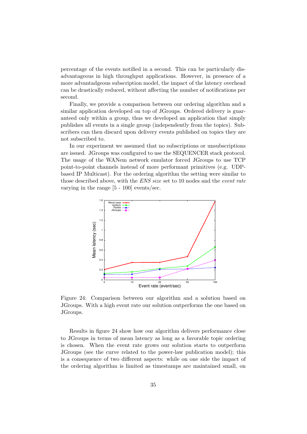percentage of the events notified in a second. This can be particularly disadvantageous in high throughput applications. However, in presence of a more advantadgeous subscription model, the impact of the latency overhead can be drastically reduced, without affecting the number of notifications per second.

Finally, we provide a comparison between our ordering algorithm and a similar application developed on top of JGroups. Ordered delivery is guaranteed only within a group, thus we developed an application that simply publishes all events in a single group (independently from the topics). Subscribers can then discard upon delivery events published on topics they are not subscribed to.

In our experiment we assumed that no subscriptions or unsubscriptions are issued. JGroups was configured to use the SEQUENCER stack protocol. The usage of the WANem network emulator forced JGroups to use TCP point-to-point channels instead of more performant primitives (e.g. UDPbased IP Multicast). For the ordering algorithm the setting were similar to those described above, with the ENS size set to 10 nodes and the event rate varying in the range [5 - 100] events/sec.



Figure 24: Comparison between our algorithm and a solution based on JGroups. With a high event rate our solution outperforms the one based on JGroups.

Results in figure 24 show how our algorithm delivers performance close to JGroups in terms of mean latency as long as a favorable topic ordering is chosen. When the event rate grows our solution starts to outperform JGroups (see the curve related to the power-law publication model); this is a consequence of two different aspects: while on one side the impact of the ordering algorithm is limited as timestamps are maintained small, on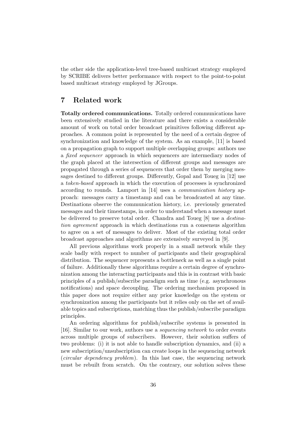the other side the application-level tree-based multicast strategy employed by SCRIBE delivers better performance with respect to the point-to-point based multicast strategy employed by JGroups.

## 7 Related work

Totally ordered communications. Totally ordered communications have been extensively studied in the literature and there exists a considerable amount of work on total order broadcast primitives following different approaches. A common point is represented by the need of a certain degree of synchronization and knowledge of the system. As an example, [11] is based on a propagation graph to support multiple overlapping groups: authors use a fixed sequencer approach in which sequencers are intermediary nodes of the graph placed at the intersection of different groups and messages are propagated through a series of sequencers that order them by merging messages destined to different groups. Differently, Gopal and Toueg in [12] use a token-based approach in which the execution of processes is synchronized according to rounds. Lamport in [14] uses a communication history approach: messages carry a timestamp and can be broadcasted at any time. Destinations observe the communication history, i.e. previously generated messages and their timestamps, in order to understand when a message must be delivered to preserve total order. Chandra and Toueg [8] use a destination agreement approach in which destinations run a consensus algorithm to agree on a set of messages to deliver. Most of the existing total order broadcast approaches and algorithms are extensively surveyed in [9].

All previous algorithms work properly in a small network while they scale badly with respect to number of participants and their geographical distribution. The sequencer represents a bottleneck as well as a single point of failure. Additionally these algorithms require a certain degree of synchronization among the interacting participants and this is in contrast with basic principles of a publish/subscribe paradigm such as time (e.g. asynchronous notifications) and space decoupling. The ordering mechanism proposed in this paper does not require either any prior knowledge on the system or synchronization among the participants but it relies only on the set of available topics and subscriptions, matching thus the publish/subscribe paradigm principles.

An ordering algorithms for publish/subscribe systems is presented in [16]. Similar to our work, authors use a sequencing network to order events across multiple groups of subscribers. However, their solution suffers of two problems: (i) it is not able to handle subscription dynamics, and (ii) a new subscription/unsubscription can create loops in the sequencing network (circular dependency problem). In this last case, the sequencing network must be rebuilt from scratch. On the contrary, our solution solves these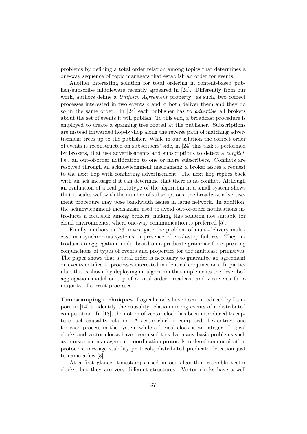problems by defining a total order relation among topics that determines a one-way sequence of topic managers that establish an order for events.

Another interesting solution for total ordering in content-based publish/subscribe middleware recently appeared in [24]. Differently from our work, authors define a Uniform Agreement property: as such, two correct processes interested in two events  $e$  and  $e'$  both deliver them and they do so in the same order. In [24] each publisher has to advertise all brokers about the set of events it will publish. To this end, a broadcast procedure is employed to create a spanning tree rooted at the publisher. Subscriptions are instead forwarded hop-by-hop along the reverse path of matching advertisement trees up to the publisher. While in our solution the correct order of events is reconstructed on subscribers' side, in [24] this task is performed by brokers, that use advertisements and subscriptions to detect a conflict, i.e., an out-of-order notification to one or more subscribers. Conflicts are resolved through an acknowledgment mechanism: a broker issues a request to the next hop with conflicting advertisement. The next hop replies back with an ack message if it can determine that there is no conflict. Although an evaluation of a real prototype of the algorithm in a small system shows that it scales well with the number of subscriptions, the broadcast advertisement procedure may pose bandwidth issues in large network. In addition, the acknowledgment mechanism used to avoid out-of-order notifications introduces a feedback among brokers, making this solution not suitable for cloud environments, where one-way communication is preferred [5].

Finally, authors in [23] investigate the problem of multi-delivery multicast in asynchronous systems in presence of crash-stop failures. They introduce an aggregation model based on a predicate grammar for expressing conjunctions of types of events and properties for the multicast primitives. The paper shows that a total order is necessary to guarantee an agreement on events notified to processes interested in identical conjunctions. In particular, this is shown by deploying an algorithm that implements the described aggregation model on top of a total order broadcast and vice-versa for a majority of correct processes.

Timestamping techniques. Logical clocks have been introduced by Lamport in [14] to identify the causality relation among events of a distributed computation. In [18], the notion of vector clock has been introduced to capture such causality relation. A vector clock is composed of  $n$  entries, one for each process in the system while a logical clock is an integer. Logical clocks and vector clocks have been used to solve many basic problems such as transaction management, coordination protocols, ordered communication protocols, message stability protocols, distributed predicate detection just to name a few [3].

At a first glance, timestamps used in our algorithm resemble vector clocks, but they are very different structures. Vector clocks have a well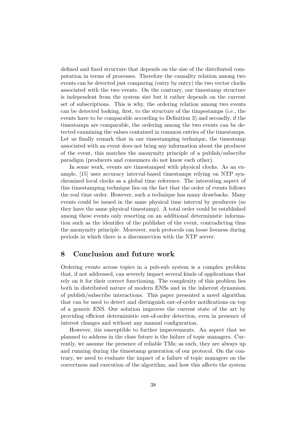defined and fixed structure that depends on the size of the distributed computation in terms of processes. Therefore the causality relation among two events can be detected just comparing (entry by entry) the two vector clocks associated with the two events. On the contrary, our timestamp structure is independent from the system size but it rather depends on the current set of subscriptions. This is why, the ordering relation among two events can be detected looking, first, to the structure of the timpestamps (i.e., the events have to be comparable according to Definition 3) and secondly, if the timestamps are comparable, the ordering among the two events can be detected examining the values contained in common entries of the timestamps. Let us finally remark that in our timestamping technique, the timestamp associated with an event does not bring any information about the producer of the event, this matches the anonymity principle of a publish/subscribe paradigm (producers and consumers do not know each other).

In some work, events are timestamped with physical clocks. As an example, [15] uses accuracy interval-based timestamps relying on NTP synchronized local clocks as a global time reference. The interesting aspect of this timestamping technique lies on the fact that the order of events follows the real time order. However, such a technique has many drawbacks. Many events could be issued in the same physical time interval by producers (so they have the same physical timestamp). A total order could be established among these events only resorting on an additional deterministic information such as the identifier of the publisher of the event, contradicting thus the anonymity principle. Moreover, such protocols can loose liveness during periods in which there is a disconnection with the NTP server.

#### 8 Conclusion and future work

Ordering events across topics in a pub-sub system is a complex problem that, if not addressed, can severely impact several kinds of applications that rely on it for their correct functioning. The complexity of this problem lies both in distributed nature of modern ENSs and in the inherent dynamism of publish/subscribe interactions. This paper presented a novel algorithm that can be used to detect and distinguish out-of-order notifications on top of a generic ENS. Our solution improves the current state of the art by providing efficient deterministic out-of-order detection, even in presence of interest changes and without any manual configuration.

However, itis susceptible to further improvements. An aspect that we planned to address in the close future is the failure of topic managers. Currently, we assume the presence of reliable TMs; as such, they are always up and running during the timestamp generation of our protocol. On the contrary, we need to evaluate the impact of a failure of topic managers on the correctness and execution of the algorithm, and how this affects the system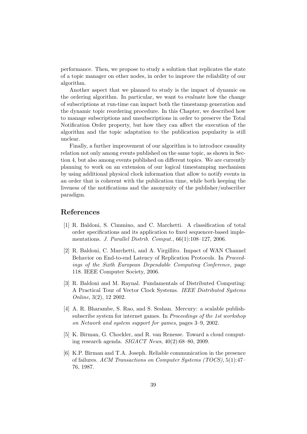performance. Then, we propose to study a solution that replicates the state of a topic manager on other nodes, in order to improve the reliability of our algorithm.

Another aspect that we planned to study is the impact of dynamic on the ordering algorithm. In particular, we want to evaluate how the change of subscriptions at run-time can impact both the timestamp generation and the dynamic topic reordering procedure. In this Chapter, we described how to manage subscriptions and unsubscriptions in order to preserve the Total Notification Order property, but how they can affect the execution of the algorithm and the topic adaptation to the publication popularity is still unclear.

Finally, a further improvement of our algorithm is to introduce causality relation not only among events published on the same topic, as shown in Section 4, but also among events published on different topics. We are currently planning to work on an extension of our logical timestamping mechanism by using additional physical clock information that allow to notify events in an order that is coherent with the publication time, while both keeping the liveness of the notifications and the anonymity of the publisher/subscriber paradigm.

## References

- [1] R. Baldoni, S. Cimmino, and C. Marchetti. A classification of total order specifications and its application to fixed sequencer-based implementations. J. Parallel Distrib. Comput., 66(1):108–127, 2006.
- [2] R. Baldoni, C. Marchetti, and A. Virgillito. Impact of WAN Channel Behavior on End-to-end Latency of Replication Protocols. In Proceedings of the Sixth European Dependable Computing Conference, page 118. IEEE Computer Society, 2006.
- [3] R. Baldoni and M. Raynal. Fundamentals of Distributed Computing: A Practical Tour of Vector Clock Systems. IEEE Distributed Systems Online, 3(2), 12 2002.
- [4] A. R. Bharambe, S. Rao, and S. Seshan. Mercury: a scalable publishsubscribe system for internet games. In Proceedings of the 1st workshop on Network and system support for games, pages 3–9, 2002.
- [5] K. Birman, G. Chockler, and R. van Renesse. Toward a cloud computing research agenda.  $SIGACT$  News,  $40(2):68-80$ , 2009.
- [6] K.P. Birman and T.A. Joseph. Reliable communication in the presence of failures. ACM Transactions on Computer Systems (TOCS), 5(1):47– 76, 1987.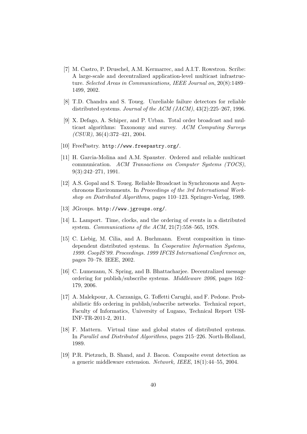- [7] M. Castro, P. Druschel, A.M. Kermarrec, and A.I.T. Rowstron. Scribe: A large-scale and decentralized application-level multicast infrastructure. Selected Areas in Communications, IEEE Journal on, 20(8):1489– 1499, 2002.
- [8] T.D. Chandra and S. Toueg. Unreliable failure detectors for reliable distributed systems. Journal of the ACM (JACM), 43(2):225–267, 1996.
- [9] X. Defago, A. Schiper, and P. Urban. Total order broadcast and multicast algorithms: Taxonomy and survey. ACM Computing Surveys  $(CSUR)$ , 36(4):372-421, 2004.
- [10] FreePastry. http://www.freepastry.org/.
- [11] H. Garcia-Molina and A.M. Spauster. Ordered and reliable multicast communication. ACM Transactions on Computer Systems (TOCS), 9(3):242–271, 1991.
- [12] A.S. Gopal and S. Toueg. Reliable Broadcast in Synchronous and Asynchronous Environments. In Proceedings of the 3rd International Workshop on Distributed Algorithms, pages 110–123. Springer-Verlag, 1989.
- [13] JGroups. http://www.jgroups.org/.
- [14] L. Lamport. Time, clocks, and the ordering of events in a distributed system. Communications of the ACM, 21(7):558-565, 1978.
- [15] C. Liebig, M. Cilia, and A. Buchmann. Event composition in timedependent distributed systems. In *Cooperative Information Systems*, 1999. CoopIS'99. Proceedings. 1999 IFCIS International Conference on, pages 70–78. IEEE, 2002.
- [16] C. Lumezanu, N. Spring, and B. Bhattacharjee. Decentralized message ordering for publish/subscribe systems. Middleware 2006, pages 162– 179, 2006.
- [17] A. Malekpour, A. Carzaniga, G. Toffetti Carughi, and F. Pedone. Probabilistic fifo ordering in publish/subscribe networks. Technical report, Faculty of Informatics, University of Lugano, Technical Report USI-INF-TR-2011-2, 2011.
- [18] F. Mattern. Virtual time and global states of distributed systems. In Parallel and Distributed Algorithms, pages 215–226. North-Holland, 1989.
- [19] P.R. Pietzuch, B. Shand, and J. Bacon. Composite event detection as a generic middleware extension. Network, IEEE, 18(1):44–55, 2004.